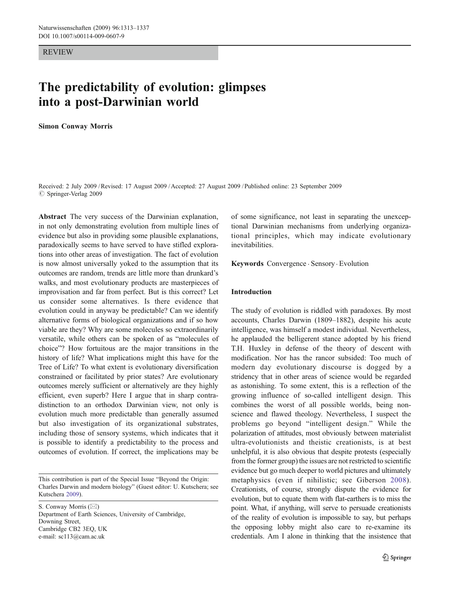REVIEW

# The predictability of evolution: glimpses into a post-Darwinian world

Simon Conway Morris

Received: 2 July 2009 /Revised: 17 August 2009 /Accepted: 27 August 2009 / Published online: 23 September 2009  $\oslash$  Springer-Verlag 2009

Abstract The very success of the Darwinian explanation, in not only demonstrating evolution from multiple lines of evidence but also in providing some plausible explanations, paradoxically seems to have served to have stifled explorations into other areas of investigation. The fact of evolution is now almost universally yoked to the assumption that its outcomes are random, trends are little more than drunkard's walks, and most evolutionary products are masterpieces of improvisation and far from perfect. But is this correct? Let us consider some alternatives. Is there evidence that evolution could in anyway be predictable? Can we identify alternative forms of biological organizations and if so how viable are they? Why are some molecules so extraordinarily versatile, while others can be spoken of as "molecules of choice"? How fortuitous are the major transitions in the history of life? What implications might this have for the Tree of Life? To what extent is evolutionary diversification constrained or facilitated by prior states? Are evolutionary outcomes merely sufficient or alternatively are they highly efficient, even superb? Here I argue that in sharp contradistinction to an orthodox Darwinian view, not only is evolution much more predictable than generally assumed but also investigation of its organizational substrates, including those of sensory systems, which indicates that it is possible to identify a predictability to the process and outcomes of evolution. If correct, the implications may be

S. Conway Morris (*\**) Department of Earth Sciences, University of Cambridge, Downing Street, Cambridge CB2 3EQ, UK e-mail: sc113@cam.ac.uk

of some significance, not least in separating the unexceptional Darwinian mechanisms from underlying organizational principles, which may indicate evolutionary inevitabilities.

Keywords Convergence . Sensory . Evolution

# Introduction

The study of evolution is riddled with paradoxes. By most accounts, Charles Darwin (1809–1882), despite his acute intelligence, was himself a modest individual. Nevertheless, he applauded the belligerent stance adopted by his friend T.H. Huxley in defense of the theory of descent with modification. Nor has the rancor subsided: Too much of modern day evolutionary discourse is dogged by a stridency that in other areas of science would be regarded as astonishing. To some extent, this is a reflection of the growing influence of so-called intelligent design. This combines the worst of all possible worlds, being nonscience and flawed theology. Nevertheless, I suspect the problems go beyond "intelligent design." While the polarization of attitudes, most obviously between materialist ultra-evolutionists and theistic creationists, is at best unhelpful, it is also obvious that despite protests (especially from the former group) the issues are not restricted to scientific evidence but go much deeper to world pictures and ultimately metaphysics (even if nihilistic; see Giberson [2008](#page-20-0)). Creationists, of course, strongly dispute the evidence for evolution, but to equate them with flat-earthers is to miss the point. What, if anything, will serve to persuade creationists of the reality of evolution is impossible to say, but perhaps the opposing lobby might also care to re-examine its credentials. Am I alone in thinking that the insistence that

This contribution is part of the Special Issue "Beyond the Origin: Charles Darwin and modern biology" (Guest editor: U. Kutschera; see Kutschera [2009\)](#page-21-0).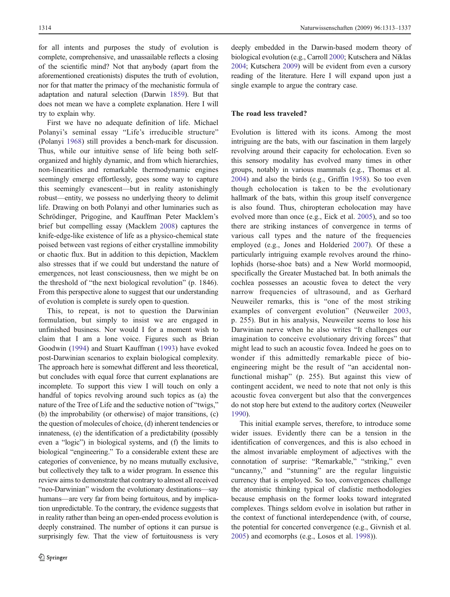for all intents and purposes the study of evolution is complete, comprehensive, and unassailable reflects a closing of the scientific mind? Not that anybody (apart from the aforementioned creationists) disputes the truth of evolution, nor for that matter the primacy of the mechanistic formula of adaptation and natural selection (Darwin [1859](#page-20-0)). But that does not mean we have a complete explanation. Here I will try to explain why.

First we have no adequate definition of life. Michael Polanyi's seminal essay "Life's irreducible structure" (Polanyi [1968](#page-22-0)) still provides a bench-mark for discussion. Thus, while our intuitive sense of life being both selforganized and highly dynamic, and from which hierarchies, non-linearities and remarkable thermodynamic engines seemingly emerge effortlessly, goes some way to capture this seemingly evanescent—but in reality astonishingly robust—entity, we possess no underlying theory to delimit life. Drawing on both Polanyi and other luminaries such as Schrödinger, Prigogine, and Kauffman Peter Macklem's brief but compelling essay (Macklem [2008\)](#page-22-0) captures the knife-edge-like existence of life as a physico-chemical state poised between vast regions of either crystalline immobility or chaotic flux. But in addition to this depiction, Macklem also stresses that if we could but understand the nature of emergences, not least consciousness, then we might be on the threshold of "the next biological revolution" (p. 1846). From this perspective alone to suggest that our understanding of evolution is complete is surely open to question.

This, to repeat, is not to question the Darwinian formulation, but simply to insist we are engaged in unfinished business. Nor would I for a moment wish to claim that I am a lone voice. Figures such as Brian Goodwin ([1994\)](#page-20-0) and Stuart Kauffman ([1993\)](#page-21-0) have evoked post-Darwinian scenarios to explain biological complexity. The approach here is somewhat different and less theoretical, but concludes with equal force that current explanations are incomplete. To support this view I will touch on only a handful of topics revolving around such topics as (a) the nature of the Tree of Life and the seductive notion of "twigs," (b) the improbability (or otherwise) of major transitions, (c) the question of molecules of choice, (d) inherent tendencies or innateness, (e) the identification of a predictability (possibly even a "logic") in biological systems, and (f) the limits to biological "engineering." To a considerable extent these are categories of convenience, by no means mutually exclusive, but collectively they talk to a wider program. In essence this review aims to demonstrate that contrary to almost all received "neo-Darwinian" wisdom the evolutionary destinations—say humans—are very far from being fortuitous, and by implication unpredictable. To the contrary, the evidence suggests that in reality rather than being an open-ended process evolution is deeply constrained. The number of options it can pursue is surprisingly few. That the view of fortuitousness is very deeply embedded in the Darwin-based modern theory of biological evolution (e.g., Carroll [2000](#page-19-0); Kutschera and Niklas [2004;](#page-21-0) Kutschera [2009\)](#page-21-0) will be evident from even a cursory reading of the literature. Here I will expand upon just a single example to argue the contrary case.

## The road less traveled?

Evolution is littered with its icons. Among the most intriguing are the bats, with our fascination in them largely revolving around their capacity for echolocation. Even so this sensory modality has evolved many times in other groups, notably in various mammals (e.g., Thomas et al. [2004](#page-23-0)) and also the birds (e.g., Griffin [1958](#page-20-0)). So too even though echolocation is taken to be the evolutionary hallmark of the bats, within this group itself convergence is also found. Thus, chiropteran echolocation may have evolved more than once (e.g., Eick et al. [2005](#page-20-0)), and so too there are striking instances of convergence in terms of various call types and the nature of the frequencies employed (e.g., Jones and Holderied [2007\)](#page-21-0). Of these a particularly intriguing example revolves around the rhinolophids (horse-shoe bats) and a New World mormoopid, specifically the Greater Mustached bat. In both animals the cochlea possesses an acoustic fovea to detect the very narrow frequencies of ultrasound, and as Gerhard Neuweiler remarks, this is "one of the most striking examples of convergent evolution" (Neuweiler [2003,](#page-22-0) p. 255). But in his analysis, Neuweiler seems to lose his Darwinian nerve when he also writes "It challenges our imagination to conceive evolutionary driving forces" that might lead to such an acoustic fovea. Indeed he goes on to wonder if this admittedly remarkable piece of bioengineering might be the result of "an accidental nonfunctional mishap" (p. 255). But against this view of contingent accident, we need to note that not only is this acoustic fovea convergent but also that the convergences do not stop here but extend to the auditory cortex (Neuweiler [1990\)](#page-22-0).

This initial example serves, therefore, to introduce some wider issues. Evidently there can be a tension in the identification of convergences, and this is also echoed in the almost invariable employment of adjectives with the connotation of surprise: "Remarkable," "striking," even "uncanny," and "stunning" are the regular linguistic currency that is employed. So too, convergences challenge the atomistic thinking typical of cladistic methodologies because emphasis on the former looks toward integrated complexes. Things seldom evolve in isolation but rather in the context of functional interdependence (with, of course, the potential for concerted convergence (e.g., Givnish et al. [2005](#page-20-0)) and ecomorphs (e.g., Losos et al. [1998\)](#page-22-0)).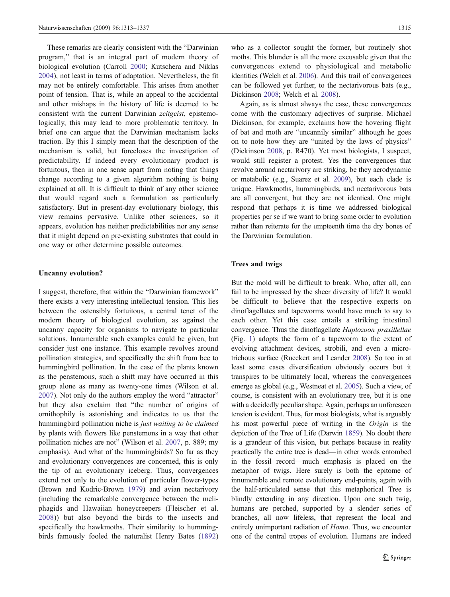These remarks are clearly consistent with the "Darwinian program," that is an integral part of modern theory of biological evolution (Carroll [2000;](#page-19-0) Kutschera and Niklas [2004\)](#page-21-0), not least in terms of adaptation. Nevertheless, the fit may not be entirely comfortable. This arises from another point of tension. That is, while an appeal to the accidental and other mishaps in the history of life is deemed to be consistent with the current Darwinian zeitgeist, epistemologically, this may lead to more problematic territory. In brief one can argue that the Darwinian mechanism lacks traction. By this I simply mean that the description of the mechanism is valid, but forecloses the investigation of predictability. If indeed every evolutionary product is fortuitous, then in one sense apart from noting that things change according to a given algorithm nothing is being explained at all. It is difficult to think of any other science that would regard such a formulation as particularly satisfactory. But in present-day evolutionary biology, this view remains pervasive. Unlike other sciences, so it appears, evolution has neither predictabilities nor any sense that it might depend on pre-existing substrates that could in one way or other determine possible outcomes.

## Uncanny evolution?

I suggest, therefore, that within the "Darwinian framework" there exists a very interesting intellectual tension. This lies between the ostensibly fortuitous, a central tenet of the modern theory of biological evolution, as against the uncanny capacity for organisms to navigate to particular solutions. Innumerable such examples could be given, but consider just one instance. This example revolves around pollination strategies, and specifically the shift from bee to hummingbird pollination. In the case of the plants known as the penstemons, such a shift may have occurred in this group alone as many as twenty-one times (Wilson et al. [2007\)](#page-24-0). Not only do the authors employ the word "attractor" but they also exclaim that "the number of origins of ornithophily is astonishing and indicates to us that the hummingbird pollination niche is just waiting to be claimed by plants with flowers like penstemons in a way that other pollination niches are not" (Wilson et al. [2007](#page-24-0), p. 889; my emphasis). And what of the hummingbirds? So far as they and evolutionary convergences are concerned, this is only the tip of an evolutionary iceberg. Thus, convergences extend not only to the evolution of particular flower-types (Brown and Kodric-Brown [1979](#page-19-0)) and avian nectarivory (including the remarkable convergence between the meliphagids and Hawaiian honeycreepers (Fleischer et al. [2008](#page-20-0))) but also beyond the birds to the insects and specifically the hawkmoths. Their similarity to hummingbirds famously fooled the naturalist Henry Bates ([1892\)](#page-19-0)

who as a collector sought the former, but routinely shot moths. This blunder is all the more excusable given that the convergences extend to physiological and metabolic identities (Welch et al. [2006\)](#page-24-0). And this trail of convergences can be followed yet further, to the nectarivorous bats (e.g., Dickinson [2008;](#page-20-0) Welch et al. [2008\)](#page-24-0).

Again, as is almost always the case, these convergences come with the customary adjectives of surprise. Michael Dickinson, for example, exclaims how the hovering flight of bat and moth are "uncannily similar" although he goes on to note how they are "united by the laws of physics" (Dickinson [2008,](#page-20-0) p. R470). Yet most biologists, I suspect, would still register a protest. Yes the convergences that revolve around nectarivory are striking, be they aerodynamic or metabolic (e.g., Suarez et al. [2009](#page-23-0)), but each clade is unique. Hawkmoths, hummingbirds, and nectarivorous bats are all convergent, but they are not identical. One might respond that perhaps it is time we addressed biological properties per se if we want to bring some order to evolution rather than reiterate for the umpteenth time the dry bones of the Darwinian formulation.

#### Trees and twigs

But the mold will be difficult to break. Who, after all, can fail to be impressed by the sheer diversity of life? It would be difficult to believe that the respective experts on dinoflagellates and tapeworms would have much to say to each other. Yet this case entails a striking intestinal convergence. Thus the dinoflagellate Haplozoon praxillellae (Fig. [1](#page-3-0)) adopts the form of a tapeworm to the extent of evolving attachment devices, strobili, and even a microtrichous surface (Rueckert and Leander [2008\)](#page-23-0). So too in at least some cases diversification obviously occurs but it transpires to be ultimately local, whereas the convergences emerge as global (e.g., Westneat et al. [2005\)](#page-24-0). Such a view, of course, is consistent with an evolutionary tree, but it is one with a decidedly peculiar shape. Again, perhaps an unforeseen tension is evident. Thus, for most biologists, what is arguably his most powerful piece of writing in the Origin is the depiction of the Tree of Life (Darwin [1859](#page-20-0)). No doubt there is a grandeur of this vision, but perhaps because in reality practically the entire tree is dead—in other words entombed in the fossil record—much emphasis is placed on the metaphor of twigs. Here surely is both the epitome of innumerable and remote evolutionary end-points, again with the half-articulated sense that this metaphorical Tree is blindly extending in any direction. Upon one such twig, humans are perched, supported by a slender series of branches, all now lifeless, that represent the local and entirely unimportant radiation of Homo. Thus, we encounter one of the central tropes of evolution. Humans are indeed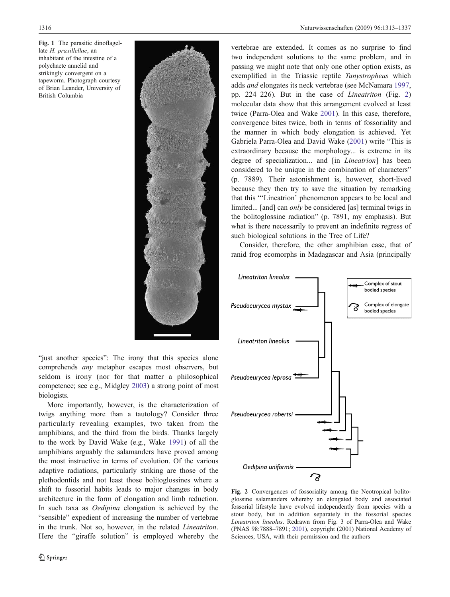<span id="page-3-0"></span>Fig. 1 The parasitic dinoflagellate H. praxillellae, an inhabitant of the intestine of a polychaete annelid and strikingly convergent on a tapeworm. Photograph courtesy of Brian Leander, University of British Columbia



"just another species": The irony that this species alone comprehends any metaphor escapes most observers, but seldom is irony (nor for that matter a philosophical competence; see e.g., Midgley [2003](#page-22-0)) a strong point of most biologists.

More importantly, however, is the characterization of twigs anything more than a tautology? Consider three particularly revealing examples, two taken from the amphibians, and the third from the birds. Thanks largely to the work by David Wake (e.g., Wake [1991](#page-24-0)) of all the amphibians arguably the salamanders have proved among the most instructive in terms of evolution. Of the various adaptive radiations, particularly striking are those of the plethodontids and not least those bolitoglossines where a shift to fossorial habits leads to major changes in body architecture in the form of elongation and limb reduction. In such taxa as Oedipina elongation is achieved by the "sensible" expedient of increasing the number of vertebrae in the trunk. Not so, however, in the related *Lineatriton*. Here the "giraffe solution" is employed whereby the

vertebrae are extended. It comes as no surprise to find two independent solutions to the same problem, and in passing we might note that only one other option exists, as exemplified in the Triassic reptile *Tanystropheus* which adds and elongates its neck vertebrae (see McNamara [1997,](#page-22-0) pp. 224–226). But in the case of Lineatriton (Fig. 2) molecular data show that this arrangement evolved at least twice (Parra-Olea and Wake [2001](#page-22-0)). In this case, therefore, convergence bites twice, both in terms of fossoriality and the manner in which body elongation is achieved. Yet Gabriela Parra-Olea and David Wake ([2001\)](#page-22-0) write "This is extraordinary because the morphology... is extreme in its degree of specialization... and [in *Lineatrion*] has been considered to be unique in the combination of characters" (p. 7889). Their astonishment is, however, short-lived because they then try to save the situation by remarking that this "'Lineatrion' phenomenon appears to be local and limited... [and] can *only* be considered [as] terminal twigs in the bolitoglossine radiation" (p. 7891, my emphasis). But what is there necessarily to prevent an indefinite regress of such biological solutions in the Tree of Life?

Consider, therefore, the other amphibian case, that of ranid frog ecomorphs in Madagascar and Asia (principally



Fig. 2 Convergences of fossoriality among the Neotropical bolitoglossine salamanders whereby an elongated body and associated fossorial lifestyle have evolved independently from species with a stout body, but in addition separately in the fossorial species Lineatriton lineolus. Redrawn from Fig. 3 of Parra-Olea and Wake (PNAS 98:7888–7891; [2001\)](#page-22-0), copyright (2001) National Academy of Sciences, USA, with their permission and the authors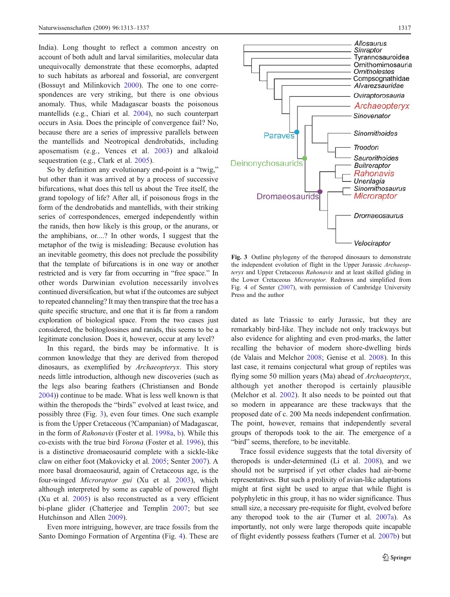<span id="page-4-0"></span>India). Long thought to reflect a common ancestry on account of both adult and larval similarities, molecular data unequivocally demonstrate that these ecomorphs, adapted to such habitats as arboreal and fossorial, are convergent (Bossuyt and Milinkovich [2000](#page-19-0)). The one to one correspondences are very striking, but there is one obvious anomaly. Thus, while Madagascar boasts the poisonous mantellids (e.g., Chiari et al. [2004](#page-19-0)), no such counterpart occurs in Asia. Does the principle of convergence fail? No, because there are a series of impressive parallels between the mantellids and Neotropical dendrobatids, including aposematism (e.g., Vences et al. [2003\)](#page-23-0) and alkaloid sequestration (e.g., Clark et al. [2005](#page-19-0)).

So by definition any evolutionary end-point is a "twig," but other than it was arrived at by a process of successive bifurcations, what does this tell us about the Tree itself, the grand topology of life? After all, if poisonous frogs in the form of the dendrobatids and mantellids, with their striking series of correspondences, emerged independently within the ranids, then how likely is this group, or the anurans, or the amphibians, or....? In other words, I suggest that the metaphor of the twig is misleading: Because evolution has an inevitable geometry, this does not preclude the possibility that the template of bifurcations is in one way or another restricted and is very far from occurring in "free space." In other words Darwinian evolution necessarily involves continued diversification, but what if the outcomes are subject to repeated channeling? It may then transpire that the tree has a quite specific structure, and one that it is far from a random exploration of biological space. From the two cases just considered, the bolitoglossines and ranids, this seems to be a legitimate conclusion. Does it, however, occur at any level?

In this regard, the birds may be informative. It is common knowledge that they are derived from theropod dinosaurs, as exemplified by Archaeopteryx. This story needs little introduction, although new discoveries (such as the legs also bearing feathers (Christiansen and Bonde [2004\)](#page-19-0)) continue to be made. What is less well known is that within the theropods the "birds" evolved at least twice, and possibly three (Fig. 3), even four times. One such example is from the Upper Cretaceous (?Campanian) of Madagascar, in the form of Rahonavis (Foster et al. [1998a,](#page-20-0) [b\)](#page-20-0). While this co-exists with the true bird Vorona (Foster et al. [1996](#page-20-0)), this is a distinctive dromaeosaurid complete with a sickle-like claw on either foot (Makovicky et al. [2005;](#page-22-0) Senter [2007\)](#page-23-0). A more basal dromaeosaurid, again of Cretaceous age, is the four-winged Microraptor gui (Xu et al. [2003\)](#page-24-0), which although interpreted by some as capable of powered flight (Xu et al. [2005](#page-24-0)) is also reconstructed as a very efficient bi-plane glider (Chatterjee and Templin [2007;](#page-19-0) but see Hutchinson and Allen [2009\)](#page-21-0).

Even more intriguing, however, are trace fossils from the Santo Domingo Formation of Argentina (Fig. [4\)](#page-5-0). These are



Fig. 3 Outline phylogeny of the theropod dinosaurs to demonstrate the independent evolution of flight in the Upper Jurassic Archaeopteryx and Upper Cretaceous Rahonavis and at least skilled gliding in the Lower Cretaceous Microraptor. Redrawn and simplified from Fig. 4 of Senter ([2007\)](#page-23-0), with permission of Cambridge University Press and the author

dated as late Triassic to early Jurassic, but they are remarkably bird-like. They include not only trackways but also evidence for alighting and even prod-marks, the latter recalling the behavior of modern shore-dwelling birds (de Valais and Melchor [2008](#page-20-0); Genise et al. [2008](#page-20-0)). In this last case, it remains conjectural what group of reptiles was flying some 50 million years (Ma) ahead of *Archaeopteryx*, although yet another theropod is certainly plausible (Melchor et al. [2002\)](#page-22-0). It also needs to be pointed out that so modern in appearance are these trackways that the proposed date of c. 200 Ma needs independent confirmation. The point, however, remains that independently several groups of theropods took to the air. The emergence of a "bird" seems, therefore, to be inevitable.

Trace fossil evidence suggests that the total diversity of theropods is under-determined (Li et al. [2008](#page-22-0)), and we should not be surprised if yet other clades had air-borne representatives. But such a prolixity of avian-like adaptations might at first sight be used to argue that while flight is polyphyletic in this group, it has no wider significance. Thus small size, a necessary pre-requisite for flight, evolved before any theropod took to the air (Turner et al. [2007a\)](#page-23-0). As importantly, not only were large theropods quite incapable of flight evidently possess feathers (Turner et al. [2007b](#page-23-0)) but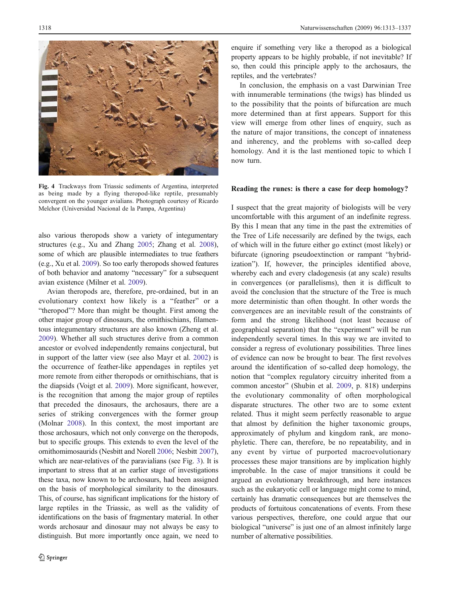<span id="page-5-0"></span>

Fig. 4 Trackways from Triassic sediments of Argentina, interpreted as being made by a flying theropod-like reptile, presumably convergent on the younger avialians. Photograph courtesy of Ricardo Melchor (Universidad Nacional de la Pampa, Argentina)

also various theropods show a variety of integumentary structures (e.g., Xu and Zhang [2005;](#page-24-0) Zhang et al. [2008\)](#page-24-0), some of which are plausible intermediates to true feathers (e.g., Xu et al. [2009](#page-24-0)). So too early theropods showed features of both behavior and anatomy "necessary" for a subsequent avian existence (Milner et al. [2009](#page-22-0)).

Avian theropods are, therefore, pre-ordained, but in an evolutionary context how likely is a "feather" or a "theropod"? More than might be thought. First among the other major group of dinosaurs, the ornithischians, filamentous integumentary structures are also known (Zheng et al. [2009\)](#page-24-0). Whether all such structures derive from a common ancestor or evolved independently remains conjectural, but in support of the latter view (see also Mayr et al. [2002\)](#page-22-0) is the occurrence of feather-like appendages in reptiles yet more remote from either theropods or ornithischians, that is the diapsids (Voigt et al. [2009](#page-24-0)). More significant, however, is the recognition that among the major group of reptiles that preceded the dinosaurs, the archosaurs, there are a series of striking convergences with the former group (Molnar [2008\)](#page-22-0). In this context, the most important are those archosaurs, which not only converge on the theropods, but to specific groups. This extends to even the level of the ornithomimosaurids (Nesbitt and Norell [2006;](#page-22-0) Nesbitt [2007\)](#page-22-0), which are near-relatives of the paravialians (see Fig. [3](#page-4-0)). It is important to stress that at an earlier stage of investigations these taxa, now known to be archosaurs, had been assigned on the basis of morphological similarity to the dinosaurs. This, of course, has significant implications for the history of large reptiles in the Triassic, as well as the validity of identifications on the basis of fragmentary material. In other words archosaur and dinosaur may not always be easy to distinguish. But more importantly once again, we need to

enquire if something very like a theropod as a biological property appears to be highly probable, if not inevitable? If so, then could this principle apply to the archosaurs, the reptiles, and the vertebrates?

In conclusion, the emphasis on a vast Darwinian Tree with innumerable terminations (the twigs) has blinded us to the possibility that the points of bifurcation are much more determined than at first appears. Support for this view will emerge from other lines of enquiry, such as the nature of major transitions, the concept of innateness and inherency, and the problems with so-called deep homology. And it is the last mentioned topic to which I now turn.

# Reading the runes: is there a case for deep homology?

I suspect that the great majority of biologists will be very uncomfortable with this argument of an indefinite regress. By this I mean that any time in the past the extremities of the Tree of Life necessarily are defined by the twigs, each of which will in the future either go extinct (most likely) or bifurcate (ignoring pseudoextinction or rampant "hybridization"). If, however, the principles identified above, whereby each and every cladogenesis (at any scale) results in convergences (or parallelisms), then it is difficult to avoid the conclusion that the structure of the Tree is much more deterministic than often thought. In other words the convergences are an inevitable result of the constraints of form and the strong likelihood (not least because of geographical separation) that the "experiment" will be run independently several times. In this way we are invited to consider a regress of evolutionary possibilities. Three lines of evidence can now be brought to bear. The first revolves around the identification of so-called deep homology, the notion that "complex regulatory circuitry inherited from a common ancestor" (Shubin et al. [2009](#page-23-0), p. 818) underpins the evolutionary commonality of often morphological disparate structures. The other two are to some extent related. Thus it might seem perfectly reasonable to argue that almost by definition the higher taxonomic groups, approximately of phylum and kingdom rank, are monophyletic. There can, therefore, be no repeatability, and in any event by virtue of purported macroevolutionary processes these major transitions are by implication highly improbable. In the case of major transitions it could be argued an evolutionary breakthrough, and here instances such as the eukaryotic cell or language might come to mind, certainly has dramatic consequences but are themselves the products of fortuitous concatenations of events. From these various perspectives, therefore, one could argue that our biological "universe" is just one of an almost infinitely large number of alternative possibilities.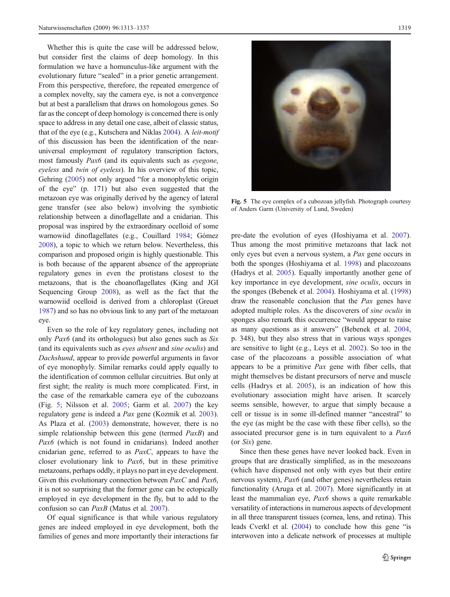<span id="page-6-0"></span>Whether this is quite the case will be addressed below. but consider first the claims of deep homology. In this formulation we have a homunculus-like argument with the evolutionary future "sealed" in a prior genetic arrangement. From this perspective, therefore, the repeated emergence of a complex novelty, say the camera eye, is not a convergence but at best a parallelism that draws on homologous genes. So far as the concept of deep homology is concerned there is only space to address in any detail one case, albeit of classic status, that of the eye (e.g., Kutschera and Niklas [2004](#page-21-0)). A leit-motif of this discussion has been the identification of the nearuniversal employment of regulatory transcription factors, most famously *Pax6* (and its equivalents such as *eyegone*, eyeless and twin of eyeless). In his overview of this topic, Gehring [\(2005](#page-20-0)) not only argued "for a monophyletic origin of the eye" (p. 171) but also even suggested that the metazoan eye was originally derived by the agency of lateral gene transfer (see also below) involving the symbiotic relationship between a dinoflagellate and a cnidarian. This proposal was inspired by the extraordinary ocelloid of some warnowiid dinoflagellates (e.g., Couillard [1984;](#page-19-0) Gómez [2008\)](#page-20-0), a topic to which we return below. Nevertheless, this comparison and proposed origin is highly questionable. This is both because of the apparent absence of the appropriate regulatory genes in even the protistans closest to the metazoans, that is the choanoflagellates (King and JGI Sequencing Group [2008\)](#page-21-0), as well as the fact that the warnowiid ocelloid is derived from a chloroplast (Greuet [1987\)](#page-20-0) and so has no obvious link to any part of the metazoan eye.

Even so the role of key regulatory genes, including not only Pax6 (and its orthologues) but also genes such as Six (and its equivalents such as eyes absent and sine oculis) and Dachshund, appear to provide powerful arguments in favor of eye monophyly. Similar remarks could apply equally to the identification of common cellular circuitries. But only at first sight; the reality is much more complicated. First, in the case of the remarkable camera eye of the cubozoans (Fig. 5; Nilsson et al. [2005;](#page-22-0) Garm et al. [2007\)](#page-20-0) the key regulatory gene is indeed a Pax gene (Kozmik et al. [2003](#page-21-0)). As Plaza et al. ([2003\)](#page-22-0) demonstrate, however, there is no simple relationship between this gene (termed *PaxB*) and Pax6 (which is not found in cnidarians). Indeed another cnidarian gene, referred to as PaxC, appears to have the closer evolutionary link to Pax6, but in these primitive metazoans, perhaps oddly, it plays no part in eye development. Given this evolutionary connection between *PaxC* and *Pax6*, it is not so surprising that the former gene can be ectopically employed in eye development in the fly, but to add to the confusion so can PaxB (Matus et al. [2007](#page-22-0)).

Of equal significance is that while various regulatory genes are indeed employed in eye development, both the families of genes and more importantly their interactions far



Fig. 5 The eye complex of a cubozoan jellyfish. Photograph courtesy of Anders Garm (University of Lund, Sweden)

pre-date the evolution of eyes (Hoshiyama et al. [2007\)](#page-21-0). Thus among the most primitive metazoans that lack not only eyes but even a nervous system, a Pax gene occurs in both the sponges (Hoshiyama et al. [1998](#page-21-0)) and placozoans (Hadrys et al. [2005](#page-20-0)). Equally importantly another gene of key importance in eye development, sine oculis, occurs in the sponges (Bebenek et al. [2004\)](#page-19-0). Hoshiyama et al. [\(1998](#page-21-0)) draw the reasonable conclusion that the Pax genes have adopted multiple roles. As the discoverers of sine oculis in sponges also remark this occurrence "would appear to raise as many questions as it answers" (Bebenek et al. [2004,](#page-19-0) p. 348), but they also stress that in various ways sponges are sensitive to light (e.g., Leys et al. [2002\)](#page-21-0). So too in the case of the placozoans a possible association of what appears to be a primitive Pax gene with fiber cells, that might themselves be distant precursors of nerve and muscle cells (Hadrys et al. [2005\)](#page-20-0), is an indication of how this evolutionary association might have arisen. It scarcely seems sensible, however, to argue that simply because a cell or tissue is in some ill-defined manner "ancestral" to the eye (as might be the case with these fiber cells), so the associated precursor gene is in turn equivalent to a Pax6 (or Six) gene.

Since then these genes have never looked back. Even in groups that are drastically simplified, as in the mesozoans (which have dispensed not only with eyes but their entire nervous system), Pax6 (and other genes) nevertheless retain functionality (Aruga et al. [2007](#page-19-0)). More significantly in at least the mammalian eye, Pax6 shows a quite remarkable versatility of interactions in numerous aspects of development in all three transparent tissues (cornea, lens, and retina). This leads Cverkl et al. [\(2004\)](#page-19-0) to conclude how this gene "is interwoven into a delicate network of processes at multiple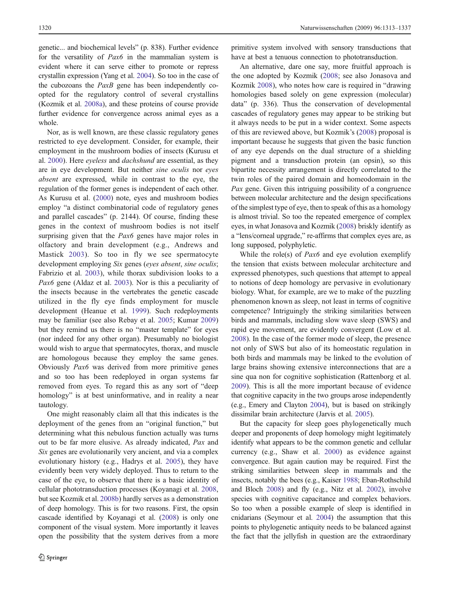genetic... and biochemical levels" (p. 838). Further evidence for the versatility of  $Pax6$  in the mammalian system is evident where it can serve either to promote or repress crystallin expression (Yang et al. [2004\)](#page-24-0). So too in the case of the cubozoans the  $PaxB$  gene has been independently coopted for the regulatory control of several crystallins (Kozmik et al. [2008a\)](#page-21-0), and these proteins of course provide further evidence for convergence across animal eyes as a whole.

Nor, as is well known, are these classic regulatory genes restricted to eye development. Consider, for example, their employment in the mushroom bodies of insects (Kurusu et al. [2000](#page-21-0)). Here eyeless and dachshund are essential, as they are in eye development. But neither sine oculis nor eyes absent are expressed, while in contrast to the eye, the regulation of the former genes is independent of each other. As Kurusu et al. ([2000\)](#page-21-0) note, eyes and mushroom bodies employ "a distinct combinatorial code of regulatory genes and parallel cascades" (p. 2144). Of course, finding these genes in the context of mushroom bodies is not itself surprising given that the *Pax6* genes have major roles in olfactory and brain development (e.g., Andrews and Mastick [2003](#page-18-0)). So too in fly we see spermatocyte development employing Six genes (eyes absent, sine oculis; Fabrizio et al. [2003\)](#page-20-0), while thorax subdivision looks to a Pax6 gene (Aldaz et al. [2003](#page-18-0)). Nor is this a peculiarity of the insects because in the vertebrates the genetic cascade utilized in the fly eye finds employment for muscle development (Heanue et al. [1999](#page-21-0)). Such redeployments may be familiar (see also Rebay et al. [2005](#page-22-0); Kumar [2009\)](#page-21-0) but they remind us there is no "master template" for eyes (nor indeed for any other organ). Presumably no biologist would wish to argue that spermatocytes, thorax, and muscle are homologous because they employ the same genes. Obviously Pax6 was derived from more primitive genes and so too has been redeployed in organ systems far removed from eyes. To regard this as any sort of "deep homology" is at best uninformative, and in reality a near tautology.

One might reasonably claim all that this indicates is the deployment of the genes from an "original function," but determining what this nebulous function actually was turns out to be far more elusive. As already indicated, Pax and Six genes are evolutionarily very ancient, and via a complex evolutionary history (e.g., Hadrys et al. [2005](#page-20-0)), they have evidently been very widely deployed. Thus to return to the case of the eye, to observe that there is a basic identity of cellular phototransduction processes (Koyanagi et al. [2008,](#page-21-0) but see Kozmik et al. [2008b](#page-21-0)) hardly serves as a demonstration of deep homology. This is for two reasons. First, the opsin cascade identified by Koyanagi et al. [\(2008\)](#page-21-0) is only one component of the visual system. More importantly it leaves open the possibility that the system derives from a more

primitive system involved with sensory transductions that have at best a tenuous connection to phototransduction.

An alternative, dare one say, more fruitful approach is the one adopted by Kozmik ([2008;](#page-21-0) see also Jonasova and Kozmik [2008\)](#page-21-0), who notes how care is required in "drawing homologies based solely on gene expression (molecular) data" (p. 336). Thus the conservation of developmental cascades of regulatory genes may appear to be striking but it always needs to be put in a wider context. Some aspects of this are reviewed above, but Kozmik's [\(2008](#page-21-0)) proposal is important because he suggests that given the basic function of any eye depends on the dual structure of a shielding pigment and a transduction protein (an opsin), so this bipartite necessity arrangement is directly correlated to the twin roles of the paired domain and homeodomain in the Pax gene. Given this intriguing possibility of a congruence between molecular architecture and the design specifications of the simplest type of eye, then to speak of this as a homology is almost trivial. So too the repeated emergence of complex eyes, in what Jonasova and Kozmik ([2008](#page-21-0)) briskly identify as a "lens/corneal upgrade," re-affirms that complex eyes are, as long supposed, polyphyletic.

While the role(s) of  $Pax6$  and eye evolution exemplify the tension that exists between molecular architecture and expressed phenotypes, such questions that attempt to appeal to notions of deep homology are pervasive in evolutionary biology. What, for example, are we to make of the puzzling phenomenon known as sleep, not least in terms of cognitive competence? Intriguingly the striking similarities between birds and mammals, including slow wave sleep (SWS) and rapid eye movement, are evidently convergent (Low et al. [2008](#page-22-0)). In the case of the former mode of sleep, the presence not only of SWS but also of its homeostatic regulation in both birds and mammals may be linked to the evolution of large brains showing extensive interconnections that are a sine qua non for cognitive sophistication (Rattenborg et al. [2009](#page-22-0)). This is all the more important because of evidence that cognitive capacity in the two groups arose independently (e.g., Emery and Clayton [2004](#page-20-0)), but is based on strikingly dissimilar brain architecture (Jarvis et al. [2005\)](#page-21-0).

But the capacity for sleep goes phylogenetically much deeper and proponents of deep homology might legitimately identify what appears to be the common genetic and cellular currency (e.g., Shaw et al. [2000\)](#page-23-0) as evidence against convergence. But again caution may be required. First the striking similarities between sleep in mammals and the insects, notably the bees (e.g., Kaiser [1988;](#page-21-0) Eban-Rothschild and Bloch [2008](#page-20-0)) and fly (e.g., Nitz et al. [2002\)](#page-22-0), involve species with cognitive capacitance and complex behaviors. So too when a possible example of sleep is identified in cnidarians (Seymour et al. [2004](#page-23-0)) the assumption that this points to phylogenetic antiquity needs to be balanced against the fact that the jellyfish in question are the extraordinary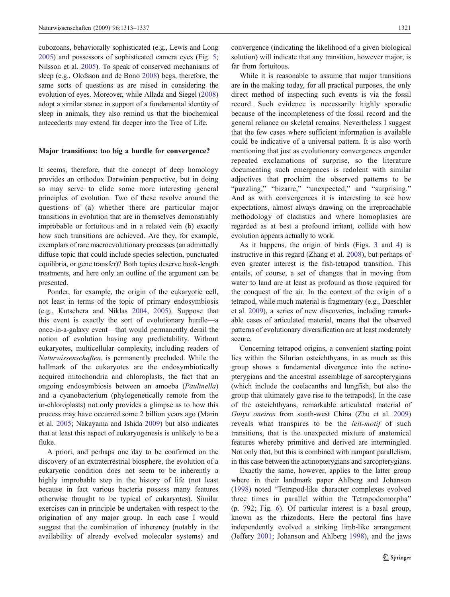cubozoans, behaviorally sophisticated (e.g., Lewis and Long [2005\)](#page-21-0) and possessors of sophisticated camera eyes (Fig. [5](#page-6-0); Nilsson et al. [2005\)](#page-22-0). To speak of conserved mechanisms of sleep (e.g., Olofsson and de Bono [2008\)](#page-22-0) begs, therefore, the same sorts of questions as are raised in considering the evolution of eyes. Moreover, while Allada and Siegel [\(2008\)](#page-18-0) adopt a similar stance in support of a fundamental identity of sleep in animals, they also remind us that the biochemical antecedents may extend far deeper into the Tree of Life.

## Major transitions: too big a hurdle for convergence?

It seems, therefore, that the concept of deep homology provides an orthodox Darwinian perspective, but in doing so may serve to elide some more interesting general principles of evolution. Two of these revolve around the questions of (a) whether there are particular major transitions in evolution that are in themselves demonstrably improbable or fortuitous and in a related vein (b) exactly how such transitions are achieved. Are they, for example, exemplars of rare macroevolutionary processes (an admittedly diffuse topic that could include species selection, punctuated equilibria, or gene transfer)? Both topics deserve book-length treatments, and here only an outline of the argument can be presented.

Ponder, for example, the origin of the eukaryotic cell, not least in terms of the topic of primary endosymbiosis (e.g., Kutschera and Niklas [2004,](#page-21-0) [2005](#page-21-0)). Suppose that this event is exactly the sort of evolutionary hurdle—a once-in-a-galaxy event—that would permanently derail the notion of evolution having any predictability. Without eukaryotes, multicellular complexity, including readers of Naturwissenschaften, is permanently precluded. While the hallmark of the eukaryotes are the endosymbiotically acquired mitochondria and chloroplasts, the fact that an ongoing endosymbiosis between an amoeba (Paulinella) and a cyanobacterium (phylogenetically remote from the ur-chloroplasts) not only provides a glimpse as to how this process may have occurred some 2 billion years ago (Marin et al. [2005;](#page-22-0) Nakayama and Ishida [2009\)](#page-22-0) but also indicates that at least this aspect of eukaryogenesis is unlikely to be a fluke.

A priori, and perhaps one day to be confirmed on the discovery of an extraterrestrial biosphere, the evolution of a eukaryotic condition does not seem to be inherently a highly improbable step in the history of life (not least because in fact various bacteria possess many features otherwise thought to be typical of eukaryotes). Similar exercises can in principle be undertaken with respect to the origination of any major group. In each case I would suggest that the combination of inherency (notably in the availability of already evolved molecular systems) and convergence (indicating the likelihood of a given biological solution) will indicate that any transition, however major, is far from fortuitous.

While it is reasonable to assume that major transitions are in the making today, for all practical purposes, the only direct method of inspecting such events is via the fossil record. Such evidence is necessarily highly sporadic because of the incompleteness of the fossil record and the general reliance on skeletal remains. Nevertheless I suggest that the few cases where sufficient information is available could be indicative of a universal pattern. It is also worth mentioning that just as evolutionary convergences engender repeated exclamations of surprise, so the literature documenting such emergences is redolent with similar adjectives that proclaim the observed patterns to be "puzzling," "bizarre," "unexpected," and "surprising." And as with convergences it is interesting to see how expectations, almost always drawing on the irreproachable methodology of cladistics and where homoplasies are regarded as at best a profound irritant, collide with how evolution appears actually to work.

As it happens, the origin of birds (Figs. [3](#page-4-0) and [4\)](#page-5-0) is instructive in this regard (Zhang et al. [2008\)](#page-24-0), but perhaps of even greater interest is the fish-tetrapod transition. This entails, of course, a set of changes that in moving from water to land are at least as profound as those required for the conquest of the air. In the context of the origin of a tetrapod, while much material is fragmentary (e.g., Daeschler et al. [2009](#page-19-0)), a series of new discoveries, including remarkable cases of articulated material, means that the observed patterns of evolutionary diversification are at least moderately secure.

Concerning tetrapod origins, a convenient starting point lies within the Silurian osteichthyans, in as much as this group shows a fundamental divergence into the actinopterygians and the ancestral assemblage of sarcopterygians (which include the coelacanths and lungfish, but also the group that ultimately gave rise to the tetrapods). In the case of the osteichthyans, remarkable articulated material of Guiyu oneiros from south-west China (Zhu et al. [2009](#page-24-0)) reveals what transpires to be the leit-motif of such transitions, that is the unexpected mixture of anatomical features whereby primitive and derived are intermingled. Not only that, but this is combined with rampant parallelism, in this case between the actinopterygians and sarcopterygians.

Exactly the same, however, applies to the latter group where in their landmark paper Ahlberg and Johanson [\(1998](#page-18-0)) noted "Tetrapod-like character complexes evolved three times in parallel within the Tetrapodomorpha" (p. 792; Fig. [6](#page-9-0)). Of particular interest is a basal group, known as the rhizodonts. Here the pectoral fins have independently evolved a striking limb-like arrangement (Jeffery [2001](#page-21-0); Johanson and Ahlberg [1998](#page-21-0)), and the jaws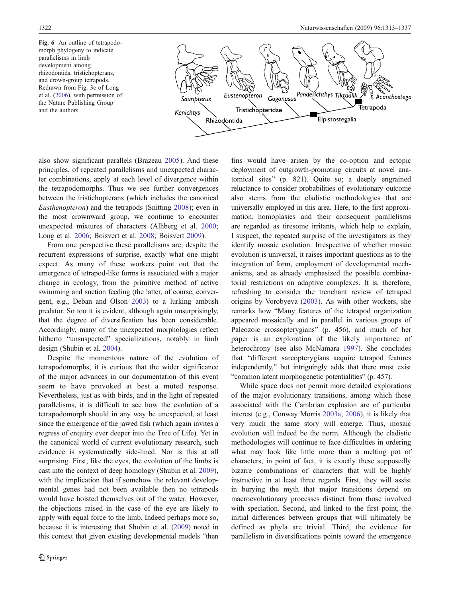<span id="page-9-0"></span>Fig. 6 An outline of tetrapodomorph phylogeny to indicate parallelisms in limb development among rhizodontids, tristichopterans, and crown-group tetrapods. Redrawn from Fig. 3c of Long et al. [\(2006](#page-22-0)), with permission of the Nature Publishing Group and the authors



also show significant parallels (Brazeau [2005](#page-19-0)). And these principles, of repeated parallelisms and unexpected character combinations, apply at each level of divergence within the tetrapodomorphs. Thus we see further convergences between the tristichopterans (which includes the canonical Eusthenopteron) and the tetrapods (Snitting [2008](#page-23-0)); even in the most crownward group, we continue to encounter unexpected mixtures of characters (Alhberg et al. [2000](#page-18-0); Long et al. [2006](#page-22-0); Boisvert et al. [2008](#page-19-0); Boisvert [2009](#page-19-0)).

From one perspective these parallelisms are, despite the recurrent expressions of surprise, exactly what one might expect. As many of these workers point out that the emergence of tetrapod-like forms is associated with a major change in ecology, from the primitive method of active swimming and suction feeding (the latter, of course, convergent, e.g., Deban and Olson [2003\)](#page-20-0) to a lurking ambush predator. So too it is evident, although again unsurprisingly, that the degree of diversification has been considerable. Accordingly, many of the unexpected morphologies reflect hitherto "unsuspected" specializations, notably in limb design (Shubin et al. [2004\)](#page-23-0).

Despite the momentous nature of the evolution of tetrapodomorphs, it is curious that the wider significance of the major advances in our documentation of this event seem to have provoked at best a muted response. Nevertheless, just as with birds, and in the light of repeated parallelisms, it is difficult to see how the evolution of a tetrapodomorph should in any way be unexpected, at least since the emergence of the jawed fish (which again invites a regress of enquiry ever deeper into the Tree of Life). Yet in the canonical world of current evolutionary research, such evidence is systematically side-lined. Nor is this at all surprising. First, like the eyes, the evolution of the limbs is cast into the context of deep homology (Shubin et al. [2009](#page-23-0)), with the implication that if somehow the relevant developmental genes had not been available then no tetrapods would have hoisted themselves out of the water. However, the objections raised in the case of the eye are likely to apply with equal force to the limb. Indeed perhaps more so, because it is interesting that Shubin et al. [\(2009](#page-23-0)) noted in this context that given existing developmental models "then

fins would have arisen by the co-option and ectopic deployment of outgrowth-promoting circuits at novel anatomical sites" (p. 821). Quite so; a deeply engrained reluctance to consider probabilities of evolutionary outcome also stems from the cladistic methodologies that are universally employed in this area. Here, to the first approximation, homoplasies and their consequent parallelisms are regarded as tiresome irritants, which help to explain, I suspect, the repeated surprise of the investigators as they identify mosaic evolution. Irrespective of whether mosaic evolution is universal, it raises important questions as to the integration of form, employment of developmental mechanisms, and as already emphasized the possible combinatorial restrictions on adaptive complexes. It is, therefore, refreshing to consider the trenchant review of tetrapod origins by Vorobyeva [\(2003](#page-24-0)). As with other workers, she remarks how "Many features of the tetrapod organization appeared mosaically and in parallel in various groups of Paleozoic crossopterygians" (p. 456), and much of her paper is an exploration of the likely importance of heterochrony (see also McNamara [1997](#page-22-0)). She concludes that "different sarcopterygians acquire tetrapod features independently," but intriguingly adds that there must exist "common latent morphogenetic potentialities" (p. 457).

While space does not permit more detailed explorations of the major evolutionary transitions, among which those associated with the Cambrian explosion are of particular interest (e.g., Conway Morris [2003a,](#page-19-0) [2006](#page-19-0)), it is likely that very much the same story will emerge. Thus, mosaic evolution will indeed be the norm. Although the cladistic methodologies will continue to face difficulties in ordering what may look like little more than a melting pot of characters, in point of fact, it is exactly these supposedly bizarre combinations of characters that will be highly instructive in at least three regards. First, they will assist in burying the myth that major transitions depend on macroevolutionary processes distinct from those involved with speciation. Second, and linked to the first point, the initial differences between groups that will ultimately be defined as phyla are trivial. Third, the evidence for parallelism in diversifications points toward the emergence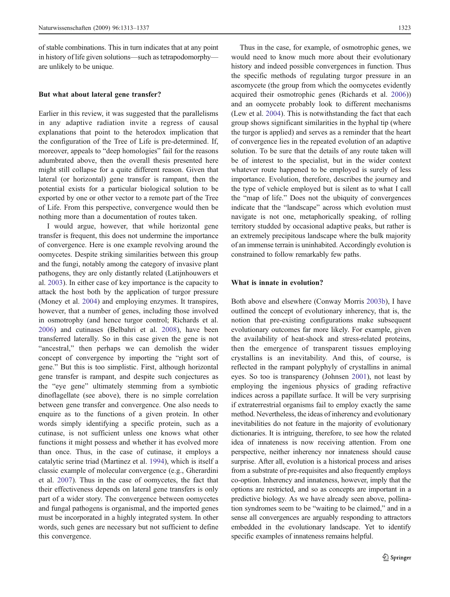of stable combinations. This in turn indicates that at any point in history of life given solutions—such as tetrapodomorphy are unlikely to be unique.

#### But what about lateral gene transfer?

Earlier in this review, it was suggested that the parallelisms in any adaptive radiation invite a regress of causal explanations that point to the heterodox implication that the configuration of the Tree of Life is pre-determined. If, moreover, appeals to "deep homologies" fail for the reasons adumbrated above, then the overall thesis presented here might still collapse for a quite different reason. Given that lateral (or horizontal) gene transfer is rampant, then the potential exists for a particular biological solution to be exported by one or other vector to a remote part of the Tree of Life. From this perspective, convergence would then be nothing more than a documentation of routes taken.

I would argue, however, that while horizontal gene transfer is frequent, this does not undermine the importance of convergence. Here is one example revolving around the oomycetes. Despite striking similarities between this group and the fungi, notably among the category of invasive plant pathogens, they are only distantly related (Latijnhouwers et al. [2003](#page-21-0)). In either case of key importance is the capacity to attack the host both by the application of turgor pressure (Money et al. [2004\)](#page-22-0) and employing enzymes. It transpires, however, that a number of genes, including those involved in osmotrophy (and hence turgor control; Richards et al. [2006\)](#page-23-0) and cutinases (Belbahri et al. [2008](#page-19-0)), have been transferred laterally. So in this case given the gene is not "ancestral," then perhaps we can demolish the wider concept of convergence by importing the "right sort of gene." But this is too simplistic. First, although horizontal gene transfer is rampant, and despite such conjectures as the "eye gene" ultimately stemming from a symbiotic dinoflagellate (see above), there is no simple correlation between gene transfer and convergence. One also needs to enquire as to the functions of a given protein. In other words simply identifying a specific protein, such as a cutinase, is not sufficient unless one knows what other functions it might possess and whether it has evolved more than once. Thus, in the case of cutinase, it employs a catalytic serine triad (Martinez et al. [1994\)](#page-22-0), which is itself a classic example of molecular convergence (e.g., Gherardini et al. [2007\)](#page-20-0). Thus in the case of oomycetes, the fact that their effectiveness depends on lateral gene transfers is only part of a wider story. The convergence between oomycetes and fungal pathogens is organismal, and the imported genes must be incorporated in a highly integrated system. In other words, such genes are necessary but not sufficient to define this convergence.

Thus in the case, for example, of osmotrophic genes, we would need to know much more about their evolutionary history and indeed possible convergences in function. Thus the specific methods of regulating turgor pressure in an ascomycete (the group from which the oomycetes evidently acquired their osmotrophic genes (Richards et al. [2006\)](#page-23-0)) and an oomycete probably look to different mechanisms (Lew et al. [2004\)](#page-21-0). This is notwithstanding the fact that each group shows significant similarities in the hyphal tip (where the turgor is applied) and serves as a reminder that the heart of convergence lies in the repeated evolution of an adaptive solution. To be sure that the details of any route taken will be of interest to the specialist, but in the wider context whatever route happened to be employed is surely of less importance. Evolution, therefore, describes the journey and the type of vehicle employed but is silent as to what I call the "map of life." Does not the ubiquity of convergences indicate that the "landscape" across which evolution must navigate is not one, metaphorically speaking, of rolling territory studded by occasional adaptive peaks, but rather is an extremely precipitous landscape where the bulk majority of an immense terrain is uninhabited. Accordingly evolution is constrained to follow remarkably few paths.

## What is innate in evolution?

Both above and elsewhere (Conway Morris [2003b](#page-19-0)), I have outlined the concept of evolutionary inherency, that is, the notion that pre-existing configurations make subsequent evolutionary outcomes far more likely. For example, given the availability of heat-shock and stress-related proteins, then the emergence of transparent tissues employing crystallins is an inevitability. And this, of course, is reflected in the rampant polyphyly of crystallins in animal eyes. So too is transparency (Johnsen [2001\)](#page-21-0), not least by employing the ingenious physics of grading refractive indices across a papillate surface. It will be very surprising if extraterrestrial organisms fail to employ exactly the same method. Nevertheless, the ideas of inherency and evolutionary inevitabilities do not feature in the majority of evolutionary dictionaries. It is intriguing, therefore, to see how the related idea of innateness is now receiving attention. From one perspective, neither inherency nor innateness should cause surprise. After all, evolution is a historical process and arises from a substrate of pre-requisites and also frequently employs co-option. Inherency and innateness, however, imply that the options are restricted, and so as concepts are important in a predictive biology. As we have already seen above, pollination syndromes seem to be "waiting to be claimed," and in a sense all convergences are arguably responding to attractors embedded in the evolutionary landscape. Yet to identify specific examples of innateness remains helpful.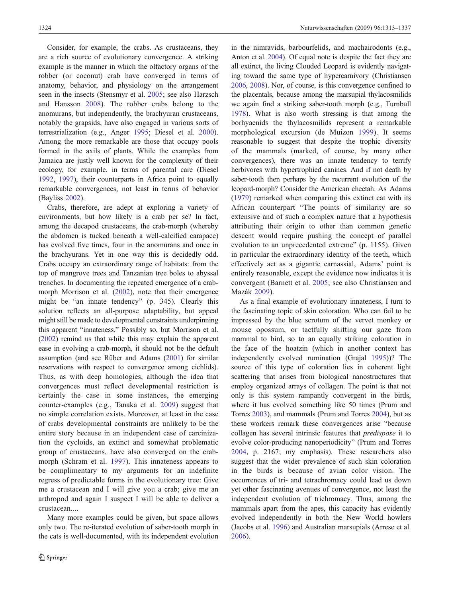Consider, for example, the crabs. As crustaceans, they are a rich source of evolutionary convergence. A striking example is the manner in which the olfactory organs of the robber (or coconut) crab have converged in terms of anatomy, behavior, and physiology on the arrangement seen in the insects (Stensmyr et al. [2005;](#page-23-0) see also Harzsch and Hansson [2008\)](#page-20-0). The robber crabs belong to the anomurans, but independently, the brachyuran crustaceans, notably the grapsids, have also engaged in various sorts of terrestrialization (e.g., Anger [1995;](#page-18-0) Diesel et al. [2000](#page-20-0)). Among the more remarkable are those that occupy pools formed in the axils of plants. While the examples from Jamaica are justly well known for the complexity of their ecology, for example, in terms of parental care (Diesel [1992,](#page-20-0) [1997\)](#page-20-0), their counterparts in Africa point to equally remarkable convergences, not least in terms of behavior (Bayliss [2002\)](#page-19-0).

Crabs, therefore, are adept at exploring a variety of environments, but how likely is a crab per se? In fact, among the decapod crustaceans, the crab-morph (whereby the abdomen is tucked beneath a well-calcified carapace) has evolved five times, four in the anomurans and once in the brachyurans. Yet in one way this is decidedly odd. Crabs occupy an extraordinary range of habitats: from the top of mangrove trees and Tanzanian tree boles to abyssal trenches. In documenting the repeated emergence of a crabmorph Morrison et al. [\(2002](#page-22-0)), note that their emergence might be "an innate tendency" (p. 345). Clearly this solution reflects an all-purpose adaptability, but appeal might still be made to developmental constraints underpinning this apparent "innateness." Possibly so, but Morrison et al. [\(2002\)](#page-22-0) remind us that while this may explain the apparent ease in evolving a crab-morph, it should not be the default assumption (and see Rüber and Adams ([2001](#page-23-0)) for similar reservations with respect to convergence among cichlids). Thus, as with deep homologies, although the idea that convergences must reflect developmental restriction is certainly the case in some instances, the emerging counter-examples (e.g., Tanaka et al. [2009\)](#page-23-0) suggest that no simple correlation exists. Moreover, at least in the case of crabs developmental constraints are unlikely to be the entire story because in an independent case of carcinization the cycloids, an extinct and somewhat problematic group of crustaceans, have also converged on the crabmorph (Schram et al. [1997\)](#page-23-0). This innateness appears to be complimentary to my arguments for an indefinite regress of predictable forms in the evolutionary tree: Give me a crustacean and I will give you a crab; give me an arthropod and again I suspect I will be able to deliver a crustacean....

Many more examples could be given, but space allows only two. The re-iterated evolution of saber-tooth morph in the cats is well-documented, with its independent evolution in the nimravids, barbourfelids, and machairodonts (e.g., Anton et al. [2004](#page-18-0)). Of equal note is despite the fact they are all extinct, the living Clouded Leopard is evidently navigating toward the same type of hypercarnivory (Christiansen [2006,](#page-19-0) [2008\)](#page-19-0). Nor, of course, is this convergence confined to the placentals, because among the marsupial thylacosmilids we again find a striking saber-tooth morph (e.g., Turnbull [1978\)](#page-23-0). What is also worth stressing is that among the borhyaenids the thylacosmilids represent a remarkable morphological excursion (de Muizon [1999\)](#page-20-0). It seems reasonable to suggest that despite the trophic diversity of the mammals (marked, of course, by many other convergences), there was an innate tendency to terrify herbivores with hypertrophied canines. And if not death by saber-tooth then perhaps by the recurrent evolution of the leopard-morph? Consider the American cheetah. As Adams [\(1979\)](#page-18-0) remarked when comparing this extinct cat with its African counterpart "The points of similarity are so extensive and of such a complex nature that a hypothesis attributing their origin to other than common genetic descent would require pushing the concept of parallel evolution to an unprecedented extreme" (p. 1155). Given in particular the extraordinary identity of the teeth, which effectively act as a gigantic carnassial, Adams' point is entirely reasonable, except the evidence now indicates it is convergent (Barnett et al. [2005](#page-19-0); see also Christiansen and Mazák [2009](#page-19-0)).

As a final example of evolutionary innateness, I turn to the fascinating topic of skin coloration. Who can fail to be impressed by the blue scrotum of the vervet monkey or mouse opossum, or tactfully shifting our gaze from mammal to bird, so to an equally striking coloration in the face of the hoatzin (which in another context has independently evolved rumination (Grajal [1995\)](#page-20-0))? The source of this type of coloration lies in coherent light scattering that arises from biological nanostructures that employ organized arrays of collagen. The point is that not only is this system rampantly convergent in the birds, where it has evolved something like 50 times (Prum and Torres [2003\)](#page-22-0), and mammals (Prum and Torres [2004](#page-22-0)), but as these workers remark these convergences arise "because collagen has several intrinsic features that predispose it to evolve color-producing nanoperiodicity" (Prum and Torres [2004](#page-22-0), p. 2167; my emphasis). These researchers also suggest that the wider prevalence of such skin coloration in the birds is because of avian color vision. The occurrences of tri- and tetrachromacy could lead us down yet other fascinating avenues of convergence, not least the independent evolution of trichromacy. Thus, among the mammals apart from the apes, this capacity has evidently evolved independently in both the New World howlers (Jacobs et al. [1996\)](#page-21-0) and Australian marsupials (Arrese et al. [2006](#page-19-0)).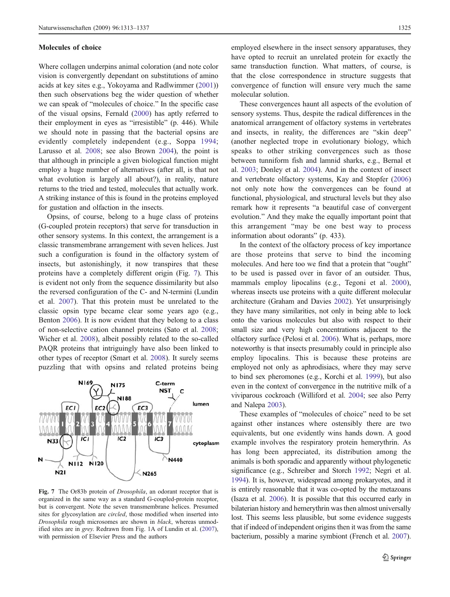#### <span id="page-12-0"></span>Molecules of choice

Where collagen underpins animal coloration (and note color vision is convergently dependant on substitutions of amino acids at key sites e.g., Yokoyama and Radlwimmer ([2001\)](#page-24-0)) then such observations beg the wider question of whether we can speak of "molecules of choice." In the specific case of the visual opsins, Fernald [\(2000](#page-20-0)) has aptly referred to their employment in eyes as "irresistible" (p. 446). While we should note in passing that the bacterial opsins are evidently completely independent (e.g., Soppa [1994](#page-23-0); Larusso et al. [2008](#page-21-0); see also Brown [2004](#page-19-0)), the point is that although in principle a given biological function might employ a huge number of alternatives (after all, is that not what evolution is largely all about?), in reality, nature returns to the tried and tested, molecules that actually work. A striking instance of this is found in the proteins employed for gustation and olfaction in the insects.

Opsins, of course, belong to a huge class of proteins (G-coupled protein receptors) that serve for transduction in other sensory systems. In this context, the arrangement is a classic transmembrane arrangement with seven helices. Just such a configuration is found in the olfactory system of insects, but astonishingly, it now transpires that these proteins have a completely different origin (Fig. 7). This is evident not only from the sequence dissimilarity but also the reversed configuration of the C- and N-termini (Lundin et al. [2007\)](#page-22-0). That this protein must be unrelated to the classic opsin type became clear some years ago (e.g., Benton [2006\)](#page-19-0). It is now evident that they belong to a class of non-selective cation channel proteins (Sato et al. [2008](#page-23-0); Wicher et al. [2008](#page-24-0)), albeit possibly related to the so-called PAQR proteins that intriguingly have also been linked to other types of receptor (Smart et al. [2008](#page-23-0)). It surely seems puzzling that with opsins and related proteins being



Fig. 7 The Or83b protein of Drosophila, an odorant receptor that is organized in the same way as a standard G-coupled-protein receptor, but is convergent. Note the seven transmembrane helices. Presumed sites for glycosylation are circled, those modified when inserted into Drosophila rough microsomes are shown in black, whereas unmodified sites are in grey. Redrawn from Fig. 1A of Lundin et al. [\(2007](#page-22-0)), with permission of Elsevier Press and the authors

employed elsewhere in the insect sensory apparatuses, they have opted to recruit an unrelated protein for exactly the same transduction function. What matters, of course, is that the close correspondence in structure suggests that convergence of function will ensure very much the same molecular solution.

These convergences haunt all aspects of the evolution of sensory systems. Thus, despite the radical differences in the anatomical arrangement of olfactory systems in vertebrates and insects, in reality, the differences are "skin deep" (another neglected trope in evolutionary biology, which speaks to other striking convergences such as those between tunniform fish and lamnid sharks, e.g., Bernal et al. [2003](#page-19-0); Donley et al. [2004](#page-20-0)). And in the context of insect and vertebrate olfactory systems, Kay and Stopfer [\(2006](#page-21-0)) not only note how the convergences can be found at functional, physiological, and structural levels but they also remark how it represents "a beautiful case of convergent evolution." And they make the equally important point that this arrangement "may be one best way to process information about odorants" (p. 433).

In the context of the olfactory process of key importance are those proteins that serve to bind the incoming molecules. And here too we find that a protein that "ought" to be used is passed over in favor of an outsider. Thus, mammals employ lipocalins (e.g., Tegoni et al. [2000](#page-23-0)), whereas insects use proteins with a quite different molecular architecture (Graham and Davies [2002\)](#page-20-0). Yet unsurprisingly they have many similarities, not only in being able to lock onto the various molecules but also with respect to their small size and very high concentrations adjacent to the olfactory surface (Pelosi et al. [2006](#page-22-0)). What is, perhaps, more noteworthy is that insects presumably could in principle also employ lipocalins. This is because these proteins are employed not only as aphrodisiacs, where they may serve to bind sex pheromones (e.g., Korchi et al. [1999](#page-21-0)), but also even in the context of convergence in the nutritive milk of a viviparous cockroach (Williford et al. [2004;](#page-24-0) see also Perry and Nalepa [2003\)](#page-22-0).

These examples of "molecules of choice" need to be set against other instances where ostensibly there are two equivalents, but one evidently wins hands down. A good example involves the respiratory protein hemerythrin. As has long been appreciated, its distribution among the animals is both sporadic and apparently without phylogenetic significance (e.g., Schreiber and Storch [1992;](#page-23-0) Negri et al. [1994\)](#page-22-0). It is, however, widespread among prokaryotes, and it is entirely reasonable that it was co-opted by the metazoans (Isaza et al. [2006\)](#page-21-0). It is possible that this occurred early in bilaterian history and hemerythrin was then almost universally lost. This seems less plausible, but some evidence suggests that if indeed of independent origins then it was from the same bacterium, possibly a marine symbiont (French et al. [2007\)](#page-20-0).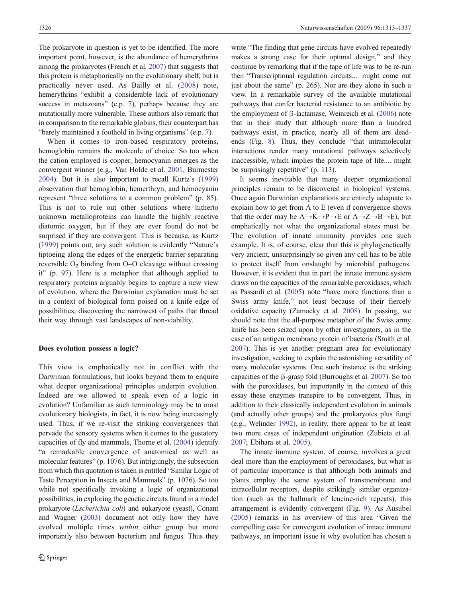The prokaryote in question is yet to be identified. The more important point, however, is the abundance of hemerythrins among the prokaryotes (French et al. [2007](#page-20-0)) that suggests that this protein is metaphorically on the evolutionary shelf, but is practically never used. As Bailly et al. ([2008](#page-19-0)) note, hemerythrins "exhibit a considerable lack of evolutionary success in metazoans" (e.p. 7), perhaps because they are mutationally more vulnerable. These authors also remark that in comparison to the remarkable globins, their counterpart has "barely maintained a foothold in living organisms" (e.p. 7).

When it comes to iron-based respiratory proteins, hemoglobin remains the molecule of choice. So too when the cation employed is copper, hemocyanin emerges as the convergent winner (e.g., Van Holde et al. [2001](#page-23-0), Burmester [2004\)](#page-19-0). But it is also important to recall Kurtz's ([1999\)](#page-21-0) observation that hemoglobin, hemerthryn, and hemocyanin represent "three solutions to a common problem" (p. 85). This is not to rule out other solutions where hitherto unknown metalloproteins can handle the highly reactive diatomic oxygen, but if they are ever found do not be surprised if they are convergent. This is because, as Kurtz [\(1999](#page-21-0)) points out, any such solution is evidently "Nature's tiptoeing along the edges of the energetic barrier separating reversible  $O_2$  binding from  $O-O$  cleavage without crossing it" (p. 97). Here is a metaphor that although applied to respiratory proteins arguably begins to capture a new view of evolution, where the Darwinian explanation must be set in a context of biological form poised on a knife edge of possibilities, discovering the narrowest of paths that thread their way through vast landscapes of non-viability.

#### Does evolution possess a logic?

This view is emphatically not in conflict with the Darwinian formulations, but looks beyond them to enquire what deeper organizational principles underpin evolution. Indeed are we allowed to speak even of a logic in evolution? Unfamiliar as such terminology may be to most evolutionary biologists, in fact, it is now being increasingly used. Thus, if we re-visit the striking convergences that pervade the sensory systems when it comes to the gustatory capacities of fly and mammals, Thorne et al. ([2004\)](#page-23-0) identify "a remarkable convergence of anatomical as well as molecular features" (p. 1076). But intriguingly, the subsection from which this quotation is taken is entitled "Similar Logic of Taste Perception in Insects and Mammals" (p. 1076). So too while not specifically invoking a logic of organizational possibilities, in exploring the genetic circuits found in a model prokaryote (Escherichia coli) and eukaryote (yeast), Conant and Wagner [\(2003\)](#page-19-0) document not only how they have evolved multiple times within either group but more importantly also between bacterium and fungus. Thus they

write "The finding that gene circuits have evolved repeatedly makes a strong case for their optimal design," and they continue by remarking that if the tape of life was to be re-run then "Transcriptional regulation circuits.... might come out just about the same" (p. 265). Nor are they alone in such a view. In a remarkable survey of the available mutational pathways that confer bacterial resistance to an antibiotic by the employment of β-lactamase, Weinreich et al. [\(2006\)](#page-24-0) note that in their study that although more than a hundred pathways exist, in practice, nearly all of them are deadends (Fig. [8\)](#page-14-0). Thus, they conclude "that intramolecular interactions render many mutational pathways selectively inaccessible, which implies the protein tape of life.... might be surprisingly repetitive" (p. 113).

It seems inevitable that many deeper organizational principles remain to be discovered in biological systems. Once again Darwinian explanations are entirely adequate to explain how to get from A to E (even if convergence shows that the order may be  $A \rightarrow K \rightarrow P \rightarrow E$  or  $A \rightarrow Z \rightarrow B \rightarrow E$ ), but emphatically not what the organizational states must be. The evolution of innate immunity provides one such example. It is, of course, clear that this is phylogenetically very ancient, unsurprisingly so given any cell has to be able to protect itself from onslaught by microbial pathogens. However, it is evident that in part the innate immune system draws on the capacities of the remarkable peroxidases, which as Passardi et al. [\(2005\)](#page-22-0) note "have more functions than a Swiss army knife," not least because of their fiercely oxidative capacity (Zamocky et al. [2008\)](#page-24-0). In passing, we should note that the all-purpose metaphor of the Swiss army knife has been seized upon by other investigators, as in the case of an antigen membrane protein of bacteria (Smith et al. [2007\)](#page-23-0). This is yet another pregnant area for evolutionary investigation, seeking to explain the astonishing versatility of many molecular systems. One such instance is the striking capacities of the β-grasp fold (Burroughs et al. [2007\)](#page-19-0). So too with the peroxidases, but importantly in the context of this essay these enzymes transpire to be convergent. Thus, in addition to their classically independent evolution in animals (and actually other groups) and the prokaryotes plus fungi (e.g., Welinder [1992](#page-24-0)), in reality, there appear to be at least two more cases of independent origination (Zubieta et al. [2007;](#page-24-0) Ebihara et al. [2005](#page-20-0)).

The innate immune system, of course, involves a great deal more than the employment of peroxidases, but what is of particular importance is that although both animals and plants employ the same system of transmembrane and intracellular receptors, despite strikingly similar organization (such as the hallmark of leucine-rich repeats), this arrangement is evidently convergent (Fig. [9](#page-14-0)). As Ausubel [\(2005](#page-19-0)) remarks in his overview of this area "Given the compelling case for convergent evolution of innate immune pathways, an important issue is why evolution has chosen a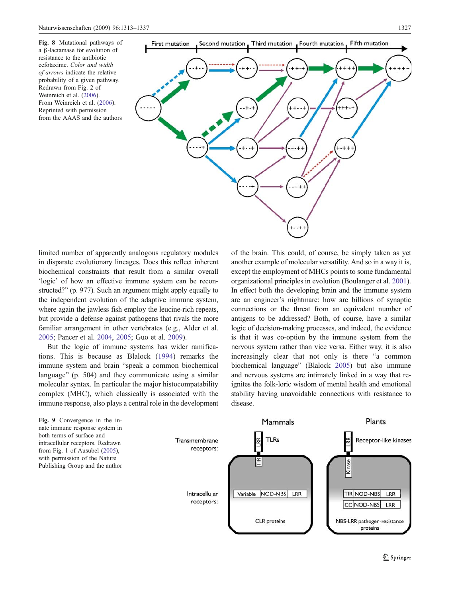<span id="page-14-0"></span>

limited number of apparently analogous regulatory modules in disparate evolutionary lineages. Does this reflect inherent biochemical constraints that result from a similar overall 'logic' of how an effective immune system can be reconstructed?" (p. 977). Such an argument might apply equally to the independent evolution of the adaptive immune system, where again the jawless fish employ the leucine-rich repeats, but provide a defense against pathogens that rivals the more familiar arrangement in other vertebrates (e.g., Alder et al. [2005;](#page-18-0) Pancer et al. [2004](#page-22-0), [2005;](#page-22-0) Guo et al. [2009\)](#page-20-0).

But the logic of immune systems has wider ramifications. This is because as Blalock [\(1994](#page-19-0)) remarks the immune system and brain "speak a common biochemical language" (p. 504) and they communicate using a similar molecular syntax. In particular the major histocompatability complex (MHC), which classically is associated with the immune response, also plays a central role in the development of the brain. This could, of course, be simply taken as yet another example of molecular versatility. And so in a way it is, except the employment of MHCs points to some fundamental organizational principles in evolution (Boulanger et al. [2001\)](#page-19-0). In effect both the developing brain and the immune system are an engineer's nightmare: how are billions of synaptic connections or the threat from an equivalent number of antigens to be addressed? Both, of course, have a similar logic of decision-making processes, and indeed, the evidence is that it was co-option by the immune system from the nervous system rather than vice versa. Either way, it is also increasingly clear that not only is there "a common biochemical language" (Blalock [2005](#page-19-0)) but also immune and nervous systems are intimately linked in a way that reignites the folk-loric wisdom of mental health and emotional stability having unavoidable connections with resistance to disease.

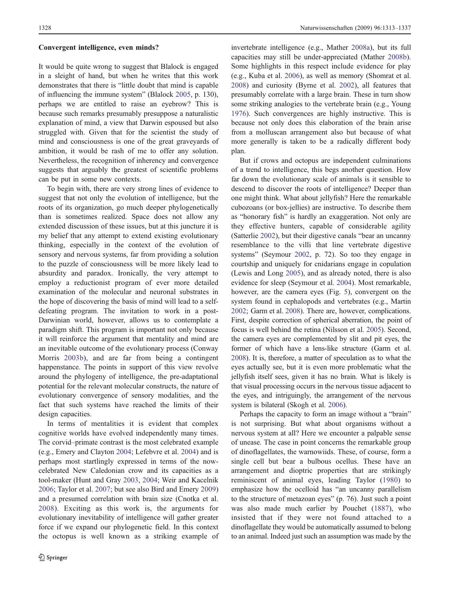### Convergent intelligence, even minds?

It would be quite wrong to suggest that Blalock is engaged in a sleight of hand, but when he writes that this work demonstrates that there is "little doubt that mind is capable of influencing the immune system" (Blalock [2005](#page-19-0), p. 130), perhaps we are entitled to raise an eyebrow? This is because such remarks presumably presuppose a naturalistic explanation of mind, a view that Darwin espoused but also struggled with. Given that for the scientist the study of mind and consciousness is one of the great graveyards of ambition, it would be rash of me to offer any solution. Nevertheless, the recognition of inherency and convergence suggests that arguably the greatest of scientific problems can be put in some new contexts.

To begin with, there are very strong lines of evidence to suggest that not only the evolution of intelligence, but the roots of its organization, go much deeper phylogenetically than is sometimes realized. Space does not allow any extended discussion of these issues, but at this juncture it is my belief that any attempt to extend existing evolutionary thinking, especially in the context of the evolution of sensory and nervous systems, far from providing a solution to the puzzle of consciousness will be more likely lead to absurdity and paradox. Ironically, the very attempt to employ a reductionist program of ever more detailed examination of the molecular and neuronal substrates in the hope of discovering the basis of mind will lead to a selfdefeating program. The invitation to work in a post-Darwinian world, however, allows us to contemplate a paradigm shift. This program is important not only because it will reinforce the argument that mentality and mind are an inevitable outcome of the evolutionary process (Conway Morris [2003b\)](#page-19-0), and are far from being a contingent happenstance. The points in support of this view revolve around the phylogeny of intelligence, the pre-adaptational potential for the relevant molecular constructs, the nature of evolutionary convergence of sensory modalities, and the fact that such systems have reached the limits of their design capacities.

In terms of mentalities it is evident that complex cognitive worlds have evolved independently many times. The corvid–primate contrast is the most celebrated example (e.g., Emery and Clayton [2004;](#page-20-0) Lefebvre et al. [2004\)](#page-21-0) and is perhaps most startlingly expressed in terms of the nowcelebrated New Caledonian crow and its capacities as a tool-maker (Hunt and Gray [2003](#page-21-0), [2004;](#page-21-0) Weir and Kacelnik [2006;](#page-24-0) Taylor et al. [2007](#page-23-0); but see also Bird and Emery [2009\)](#page-19-0) and a presumed correlation with brain size (Cnotka et al. [2008](#page-19-0)). Exciting as this work is, the arguments for evolutionary inevitability of intelligence will gather greater force if we expand our phylogenetic field. In this context the octopus is well known as a striking example of

invertebrate intelligence (e.g., Mather [2008a\)](#page-22-0), but its full capacities may still be under-appreciated (Mather [2008b\)](#page-22-0). Some highlights in this respect include evidence for play (e.g., Kuba et al. [2006\)](#page-21-0), as well as memory (Shomrat et al. [2008](#page-23-0)) and curiosity (Byrne et al. [2002](#page-19-0)), all features that presumably correlate with a large brain. These in turn show some striking analogies to the vertebrate brain (e.g., Young [1976](#page-24-0)). Such convergences are highly instructive. This is because not only does this elaboration of the brain arise from a molluscan arrangement also but because of what more generally is taken to be a radically different body plan.

But if crows and octopus are independent culminations of a trend to intelligence, this begs another question. How far down the evolutionary scale of animals is it sensible to descend to discover the roots of intelligence? Deeper than one might think. What about jellyfish? Here the remarkable cubozoans (or box-jellies) are instructive. To describe them as "honorary fish" is hardly an exaggeration. Not only are they effective hunters, capable of considerable agility (Satterlie [2002\)](#page-23-0), but their digestive canals "bear an uncanny resemblance to the villi that line vertebrate digestive systems" (Seymour [2002](#page-23-0), p. 72). So too they engage in courtship and uniquely for cnidarians engage in copulation (Lewis and Long [2005](#page-21-0)), and as already noted, there is also evidence for sleep (Seymour et al. [2004\)](#page-23-0). Most remarkable, however, are the camera eyes (Fig. [5\)](#page-6-0), convergent on the system found in cephalopods and vertebrates (e.g., Martin [2002](#page-22-0); Garm et al. [2008](#page-20-0)). There are, however, complications. First, despite correction of spherical aberration, the point of focus is well behind the retina (Nilsson et al. [2005\)](#page-22-0). Second, the camera eyes are complemented by slit and pit eyes, the former of which have a lens-like structure (Garm et al. [2008\)](#page-20-0). It is, therefore, a matter of speculation as to what the eyes actually see, but it is even more problematic what the jellyfish itself sees, given it has no brain. What is likely is that visual processing occurs in the nervous tissue adjacent to the eyes, and intriguingly, the arrangement of the nervous system is bilateral (Skogh et al. [2006](#page-23-0)).

Perhaps the capacity to form an image without a "brain" is not surprising. But what about organisms without a nervous system at all? Here we encounter a palpable sense of unease. The case in point concerns the remarkable group of dinoflagellates, the warnowiids. These, of course, form a single cell but bear a bulbous ocellus. These have an arrangement and dioptric properties that are strikingly reminiscent of animal eyes, leading Taylor [\(1980\)](#page-23-0) to emphasize how the ocelloid has "an uncanny parallelism to the structure of metazoan eyes" (p. 76). Just such a point was also made much earlier by Pouchet [\(1887](#page-22-0)), who insisted that if they were not found attached to a dinoflagellate they would be automatically assumed to belong to an animal. Indeed just such an assumption was made by the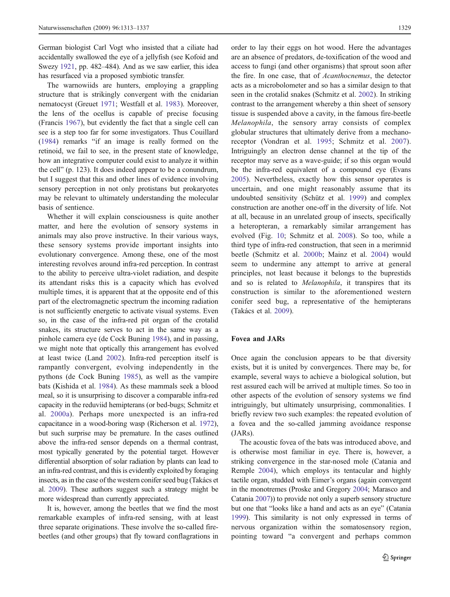German biologist Carl Vogt who insisted that a ciliate had accidentally swallowed the eye of a jellyfish (see Kofoid and Swezy [1921](#page-21-0), pp. 482–484). And as we saw earlier, this idea has resurfaced via a proposed symbiotic transfer.

The warnowiids are hunters, employing a grappling structure that is strikingly convergent with the cnidarian nematocyst (Greuet [1971](#page-20-0); Westfall et al. [1983\)](#page-24-0). Moreover, the lens of the ocellus is capable of precise focusing (Francis [1967\)](#page-20-0), but evidently the fact that a single cell can see is a step too far for some investigators. Thus Couillard [\(1984](#page-19-0)) remarks "if an image is really formed on the retinoid, we fail to see, in the present state of knowledge, how an integrative computer could exist to analyze it within the cell" (p. 123). It does indeed appear to be a conundrum, but I suggest that this and other lines of evidence involving sensory perception in not only protistans but prokaryotes may be relevant to ultimately understanding the molecular basis of sentience.

Whether it will explain consciousness is quite another matter, and here the evolution of sensory systems in animals may also prove instructive. In their various ways, these sensory systems provide important insights into evolutionary convergence. Among these, one of the most interesting revolves around infra-red perception. In contrast to the ability to perceive ultra-violet radiation, and despite its attendant risks this is a capacity which has evolved multiple times, it is apparent that at the opposite end of this part of the electromagnetic spectrum the incoming radiation is not sufficiently energetic to activate visual systems. Even so, in the case of the infra-red pit organ of the crotalid snakes, its structure serves to act in the same way as a pinhole camera eye (de Cock Buning [1984](#page-20-0)), and in passing, we might note that optically this arrangement has evolved at least twice (Land [2002\)](#page-21-0). Infra-red perception itself is rampantly convergent, evolving independently in the pythons (de Cock Buning [1985](#page-20-0)), as well as the vampire bats (Kishida et al. [1984](#page-21-0)). As these mammals seek a blood meal, so it is unsurprising to discover a comparable infra-red capacity in the reduviid hemipterans (or bed-bugs; Schmitz et al. [2000a](#page-23-0)). Perhaps more unexpected is an infra-red capacitance in a wood-boring wasp (Richerson et al. [1972\)](#page-23-0), but such surprise may be premature. In the cases outlined above the infra-red sensor depends on a thermal contrast, most typically generated by the potential target. However differential absorption of solar radiation by plants can lead to an infra-red contrast, and this is evidently exploited by foraging insects, as in the case of the western conifer seed bug (Takács et al. [2009\)](#page-23-0). These authors suggest such a strategy might be more widespread than currently appreciated.

It is, however, among the beetles that we find the most remarkable examples of infra-red sensing, with at least three separate originations. These involve the so-called firebeetles (and other groups) that fly toward conflagrations in order to lay their eggs on hot wood. Here the advantages are an absence of predators, de-toxification of the wood and access to fungi (and other organisms) that sprout soon after the fire. In one case, that of Acanthocnemus, the detector acts as a microbolometer and so has a similar design to that seen in the crotalid snakes (Schmitz et al. [2002\)](#page-23-0). In striking contrast to the arrangement whereby a thin sheet of sensory tissue is suspended above a cavity, in the famous fire-beetle Melanophila, the sensory array consists of complex globular structures that ultimately derive from a mechanoreceptor (Vondran et al. [1995;](#page-24-0) Schmitz et al. [2007](#page-23-0)). Intriguingly an electron dense channel at the tip of the receptor may serve as a wave-guide; if so this organ would be the infra-red equivalent of a compound eye (Evans [2005](#page-20-0)). Nevertheless, exactly how this sensor operates is uncertain, and one might reasonably assume that its undoubted sensitivity (Schütz et al. [1999\)](#page-23-0) and complex construction are another one-off in the diversity of life. Not at all, because in an unrelated group of insects, specifically a heteropteran, a remarkably similar arrangement has evolved (Fig. [10](#page-17-0); Schmitz et al. [2008](#page-23-0)). So too, while a third type of infra-red construction, that seen in a merimnid beetle (Schmitz et al. [2000b;](#page-23-0) Mainz et al. [2004](#page-22-0)) would seem to undermine any attempt to arrive at general principles, not least because it belongs to the buprestids and so is related to Melanophila, it transpires that its construction is similar to the aforementioned western conifer seed bug, a representative of the hemipterans (Takács et al. [2009](#page-23-0)).

## Fovea and JARs

Once again the conclusion appears to be that diversity exists, but it is united by convergences. There may be, for example, several ways to achieve a biological solution, but rest assured each will be arrived at multiple times. So too in other aspects of the evolution of sensory systems we find intriguingly, but ultimately unsurprising, commonalities. I briefly review two such examples: the repeated evolution of a fovea and the so-called jamming avoidance response (JARs).

The acoustic fovea of the bats was introduced above, and is otherwise most familiar in eye. There is, however, a striking convergence in the star-nosed mole (Catania and Remple [2004](#page-19-0)), which employs its tentacular and highly tactile organ, studded with Eimer's organs (again convergent in the monotremes (Proske and Gregory [2004;](#page-22-0) Marasco and Catania [2007\)](#page-22-0)) to provide not only a superb sensory structure but one that "looks like a hand and acts as an eye" (Catania [1999\)](#page-19-0). This similarity is not only expressed in terms of nervous organization within the somatosensory region, pointing toward "a convergent and perhaps common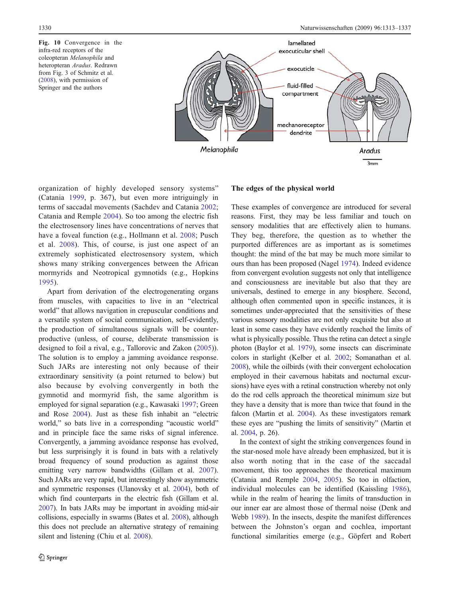<span id="page-17-0"></span>Fig. 10 Convergence in the infra-red receptors of the coleopteran Melanophila and heteropteran Aradus. Redrawn from Fig. 3 of Schmitz et al. ([2008\)](#page-23-0), with permission of Springer and the authors



organization of highly developed sensory systems" (Catania [1999,](#page-19-0) p. 367), but even more intriguingly in terms of saccadal movements (Sachdev and Catania [2002](#page-23-0); Catania and Remple [2004](#page-19-0)). So too among the electric fish the electrosensory lines have concentrations of nerves that have a foveal function (e.g., Hollmann et al. [2008;](#page-21-0) Pusch et al. [2008\)](#page-22-0). This, of course, is just one aspect of an extremely sophisticated electrosensory system, which shows many striking convergences between the African mormyrids and Neotropical gymnotids (e.g., Hopkins [1995](#page-21-0)).

Apart from derivation of the electrogenerating organs from muscles, with capacities to live in an "electrical world" that allows navigation in crepuscular conditions and a versatile system of social communication, self-evidently, the production of simultaneous signals will be counterproductive (unless, of course, deliberate transmission is designed to foil a rival, e.g., Tallorovic and Zakon [\(2005](#page-23-0))). The solution is to employ a jamming avoidance response. Such JARs are interesting not only because of their extraordinary sensitivity (a point returned to below) but also because by evolving convergently in both the gymnotid and mormyrid fish, the same algorithm is employed for signal separation (e.g., Kawasaki [1997;](#page-21-0) Green and Rose [2004](#page-20-0)). Just as these fish inhabit an "electric world," so bats live in a corresponding "acoustic world" and in principle face the same risks of signal inference. Convergently, a jamming avoidance response has evolved, but less surprisingly it is found in bats with a relatively broad frequency of sound production as against those emitting very narrow bandwidths (Gillam et al. [2007](#page-20-0)). Such JARs are very rapid, but interestingly show asymmetric and symmetric responses (Ulanovsky et al. [2004\)](#page-23-0), both of which find counterparts in the electric fish (Gillam et al. [2007\)](#page-20-0). In bats JARs may be important in avoiding mid-air collisions, especially in swarms (Bates et al. [2008\)](#page-19-0), although this does not preclude an alternative strategy of remaining silent and listening (Chiu et al. [2008](#page-19-0)).

#### The edges of the physical world

These examples of convergence are introduced for several reasons. First, they may be less familiar and touch on sensory modalities that are effectively alien to humans. They beg, therefore, the question as to whether the purported differences are as important as is sometimes thought: the mind of the bat may be much more similar to ours than has been proposed (Nagel [1974](#page-22-0)). Indeed evidence from convergent evolution suggests not only that intelligence and consciousness are inevitable but also that they are universals, destined to emerge in any biosphere. Second, although often commented upon in specific instances, it is sometimes under-appreciated that the sensitivities of these various sensory modalities are not only exquisite but also at least in some cases they have evidently reached the limits of what is physically possible. Thus the retina can detect a single photon (Baylor et al. [1979\)](#page-19-0), some insects can discriminate colors in starlight (Kelber et al. [2002;](#page-21-0) Somanathan et al. [2008\)](#page-23-0), while the oilbirds (with their convergent echolocation employed in their cavernous habitats and nocturnal excursions) have eyes with a retinal construction whereby not only do the rod cells approach the theoretical minimum size but they have a density that is more than twice that found in the falcon (Martin et al. [2004](#page-22-0)). As these investigators remark these eyes are "pushing the limits of sensitivity" (Martin et al. [2004](#page-22-0), p. 26).

In the context of sight the striking convergences found in the star-nosed mole have already been emphasized, but it is also worth noting that in the case of the saccadal movement, this too approaches the theoretical maximum (Catania and Remple [2004,](#page-19-0) [2005\)](#page-19-0). So too in olfaction, individual molecules can be identified (Kaissling [1986\)](#page-21-0), while in the realm of hearing the limits of transduction in our inner ear are almost those of thermal noise (Denk and Webb [1989\)](#page-20-0). In the insects, despite the manifest differences between the Johnston's organ and cochlea, important functional similarities emerge (e.g., Göpfert and Robert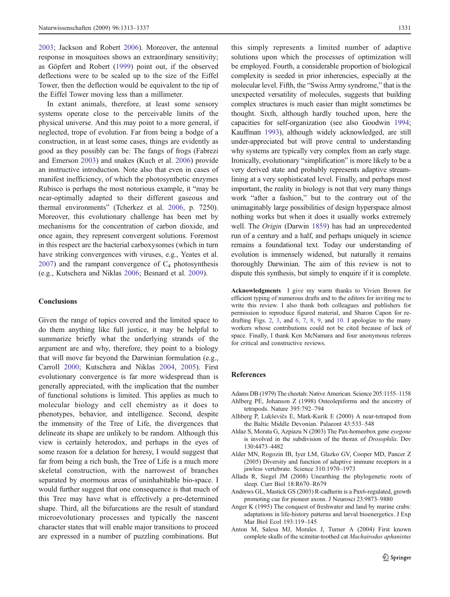<span id="page-18-0"></span>[2003;](#page-20-0) Jackson and Robert [2006\)](#page-21-0). Moreover, the antennal response in mosquitoes shows an extraordinary sensitivity; as Göpfert and Robert [\(1999](#page-20-0)) point out, if the observed deflections were to be scaled up to the size of the Eiffel Tower, then the deflection would be equivalent to the tip of the Eiffel Tower moving less than a millimeter.

In extant animals, therefore, at least some sensory systems operate close to the perceivable limits of the physical universe. And this may point to a more general, if neglected, trope of evolution. Far from being a bodge of a construction, in at least some cases, things are evidently as good as they possibly can be: The fangs of frogs (Fabrezi and Emerson [2003](#page-20-0)) and snakes (Kuch et al. [2006](#page-21-0)) provide an instructive introduction. Note also that even in cases of manifest inefficiency, of which the photosynthetic enzymes Rubisco is perhaps the most notorious example, it "may be near-optimally adapted to their different gaseous and thermal environments" (Tcherkez et al. [2006,](#page-23-0) p. 7250). Moreover, this evolutionary challenge has been met by mechanisms for the concentration of carbon dioxide, and once again, they represent convergent solutions. Foremost in this respect are the bacterial carboxysomes (which in turn have striking convergences with viruses, e.g., Yeates et al.  $2007$ ) and the rampant convergence of  $C_4$  photosynthesis (e.g., Kutschera and Niklas [2006](#page-21-0); Besnard et al. [2009](#page-19-0)).

# **Conclusions**

Given the range of topics covered and the limited space to do them anything like full justice, it may be helpful to summarize briefly what the underlying strands of the argument are and why, therefore, they point to a biology that will move far beyond the Darwinian formulation (e.g., Carroll [2000;](#page-19-0) Kutschera and Niklas [2004](#page-21-0), [2005\)](#page-21-0). First evolutionary convergence is far more widespread than is generally appreciated, with the implication that the number of functional solutions is limited. This applies as much to molecular biology and cell chemistry as it does to phenotypes, behavior, and intelligence. Second, despite the immensity of the Tree of Life, the divergences that delineate its shape are unlikely to be random. Although this view is certainly heterodox, and perhaps in the eyes of some reason for a delation for heresy, I would suggest that far from being a rich bush, the Tree of Life is a much more skeletal construction, with the narrowest of branches separated by enormous areas of uninhabitable bio-space. I would further suggest that one consequence is that much of this Tree may have what is effectively a pre-determined shape. Third, all the bifurcations are the result of standard microevolutionary processes and typically the nascent character states that will enable major transitions to proceed are expressed in a number of puzzling combinations. But

this simply represents a limited number of adaptive solutions upon which the processes of optimization will be employed. Fourth, a considerable proportion of biological complexity is seeded in prior inherencies, especially at the molecular level. Fifth, the "Swiss Army syndrome," that is the unexpected versatility of molecules, suggests that building complex structures is much easier than might sometimes be thought. Sixth, although hardly touched upon, here the capacities for self-organization (see also Goodwin [1994;](#page-20-0) Kauffman [1993\)](#page-21-0), although widely acknowledged, are still under-appreciated but will prove central to understanding why systems are typically very complex from an early stage. Ironically, evolutionary "simplification" is more likely to be a very derived state and probably represents adaptive streamlining at a very sophisticated level. Finally, and perhaps most important, the reality in biology is not that very many things work "after a fashion," but to the contrary out of the unimaginably large possibilities of design hyperspace almost nothing works but when it does it usually works extremely well. The Origin (Darwin [1859\)](#page-20-0) has had an unprecedented run of a century and a half, and perhaps uniquely in science remains a foundational text. Today our understanding of evolution is immensely widened, but naturally it remains thoroughly Darwinian. The aim of this review is not to dispute this synthesis, but simply to enquire if it is complete.

Acknowledgments I give my warm thanks to Vivien Brown for efficient typing of numerous drafts and to the editors for inviting me to write this review. I also thank both colleagues and publishers for permission to reproduce figured material, and Sharon Capon for redrafting Figs. [2](#page-3-0), [3](#page-4-0), and [6](#page-9-0), [7](#page-12-0), [8,](#page-14-0) [9,](#page-14-0) and [10](#page-17-0). I apologize to the many workers whose contributions could not be cited because of lack of space. Finally, I thank Ken McNamara and four anonymous referees for critical and constructive reviews.

## References

- Adams DB (1979) The cheetah: Native American. Science 205:1155–1158
- Ahlberg PE, Johanson Z (1998) Osteolepiforms and the ancestry of tetrapods. Nature 395:792–794
- Alhberg P, Lukševičs E, Mark-Kurik E (2000) A near-tetrapod from the Baltic Middle Devonian. Palaeont 43:533–548
- Aldaz S, Morata G, Azpiazu N (2003) The Pax-homeobox gene eyegone is involved in the subdivision of the thorax of Drosophila. Dev 130:4473–4482
- Alder MN, Rogozin IB, Iyer LM, Glazko GV, Cooper MD, Pancer Z (2005) Diversity and function of adaptive immune receptors in a jawless vertebrate. Science 310:1970–1973
- Allada R, Siegel JM (2008) Unearthing the phylogenetic roots of sleep. Curr Biol 18:R670–R679
- Andrews GL, Mastick GS (2003) R-cadherin is a Pax6-regulated, growth promoting cue for pioneer axons. J Neurosci 23:9873–9880
- Anger K (1995) The conquest of freshwater and land by marine crabs: adaptations in life-history patterns and larval bioenergetics. J Exp Mar Biol Ecol 193:119–145
- Anton M, Salesa MJ, Morales J, Turner A (2004) First known complete skulls of the scimitar-toothed cat Machairodus aphanistus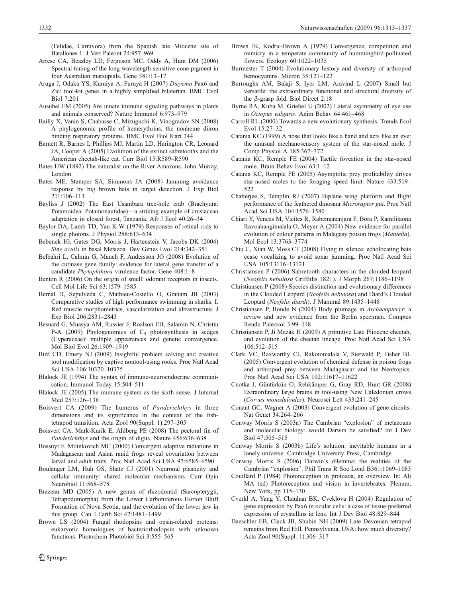<span id="page-19-0"></span>(Felidae, Carnivora) from the Spanish late Miocene site of Batallones-1. J Vert Paleont 24:957–969

- Arrese CA, Beazley LD, Ferguson MC, Oddy A, Hunt DM (2006) Spectral tuning of the long wavelength-sensitive cone pigment in four Australian marsupials. Gene 381:13–17
- Aruga J, Odaka YS, Kumiya A, Furuya H (2007) Dicyema Pax6 and Zic: tool-kit genes in a highly simplified bilaterian. BMC Evol Biol 7:201
- Ausubel FM (2005) Are innate immune signaling pathways in plants and animals conserved? Nature Immunol 6:973–979
- Bailly X, Vanin S, Chabasse C, Mizuguchi K, Vinogradov SN (2008) A phylogenomic profile of hemerythrins, the nonheme diiron binding respiratory proteins. BMC Evol Biol 8:art 244
- Barnett R, Barnes I, Phillips MJ, Martin LD, Harington CR, Leonard JA, Cooper A (2005) Evolution of the extinct sabretooths and the American cheetah-like cat. Curr Biol 15:R589–R590
- Bates HW (1892) The naturalist on the River Amazons. John Murray, London
- Bates ME, Stamper SA, Simmons JA (2008) Jamming avoidance response by big brown bats in target detection. J Exp Biol 211:106–113
- Bayliss J (2002) The East Usambara tree-hole crab (Brachyura: Potamoidea: Potamonautidae)—a striking example of crustacean adaptation in closed forest, Tanzania. Afr J Ecol 40:26–34
- Baylor DA, Lamb TD, Yau K-W (1979) Responses of retinal rods to single photons. J Physiol 288:613–634
- Bebenek IG, Gates DG, Morris J, Hartenstein V, Jacobs DK (2004) Sine oculis in basal Metazoa. Dev Genes Evol 214:342–351
- Belbahri L, Calmin G, Mauch F, Andersson JO (2008) Evolution of the cutinase gene family: evidence for lateral gene transfer of a candidate Phytophthora virulence factor. Gene 408:1–8
- Benton R (2006) On the origin of smell: odorant receptors in insects. Cell Mol Life Sci 63:1579–1585
- Bernal D, Sepulveda C, Mathieu-Costello O, Graham JB (2003) Comparative studies of high performance swimming in sharks. I. Red muscle morphometrics, vascularization and ultrastructure. J Exp Biol 206:2831–2843
- Besnard G, Muasya AM, Russier F, Roalson EH, Salamin N, Christin P-A (2009) Phylogenomics of  $C_4$  photosynthesis in sedges (Cyperaceae): multiple appearances and genetic convergence. Mol Biol Evol 26:1909–1919
- Bird CD, Emery NJ (2009) Insightful problem solving and creative tool modification by captive nontool-using rooks. Proc Natl Acad Sci USA 106:10370–10375
- Blalock JE (1994) The syntax of immune-neuroendocrine communication. Immunol Today 15:504–511
- Blalock JE (2005) The immune system as the sixth sense. J Internal Med 257:126–138
- Boisvert CA (2009) The humerus of Panderichthys in three dimensions and its significance in the context of the fishtetrapod transition. Acta Zool 90(Suppl. 1):297–305
- Boisvert CA, Mark-Kurik E, Ahlberg PE (2008) The pectoral fin of Panderichthys and the origin of digits. Nature 456:636–638
- Bossuyt F, Milinkovich MC (2000) Convergent adaptive radiations in Madagascan and Asian ranid frogs reveal covariation between larval and adult traits. Proc Natl Acad Sci USA 97:6585–6590
- Boulanger LM, Huh GS, Shatz CJ (2001) Neuronal plasticity and cellular immunity: shared molecular mechanisms. Curr Opin Neurobiol 11:568–578
- Brazeau MD (2005) A new genus of rhizodontid (Sarcopterygii, Tetrapodomorpha) from the Lower Carboniferous Horton Bluff Formation of Nova Scotia, and the evolution of the lower jaw in this group. Can J Earth Sci 42:1481–1499
- Brown LS (2004) Fungal rhodopsins and opsin-related proteins: eukaryotic homologues of bacteriorhodopsin with unknown functions. Photochem Photobiol Sci 3:555–565
- Brown JK, Kodric-Brown A (1979) Convergence, competition and mimicry in a temperate community of hummingbird-pollinated flowers. Ecology 60:1022–1035
- Burmester T (2004) Evolutionary history and diversity of arthropod hemocyanins. Micron 35:121–122
- Burroughs AM, Balaji S, Iyer LM, Aravind L (2007) Small but versatile: the extraordinary functional and structural diversity of the β-grasp fold. Biol Direct 2:18
- Byrne RA, Kuba M, Griebel U (2002) Lateral asymmetry of eye use in Octopus vulgaris. Anim Behav 64:461–468
- Carroll RL (2000) Towards a new evolutionary synthesis. Trends Ecol Evol 15:27–32
- Catania KC (1999) A nose that looks like a hand and acts like an eye: the unusual mechanosensory system of the star-nosed mole. J Comp Physiol A 185:367–372
- Catania KC, Remple FE (2004) Tactile foveation in the star-nosed mole. Brain Behav Evol 63:1–12
- Catania KC, Remple FE (2005) Asymptotic prey profitability drives star-nosed moles to the foraging speed limit. Nature 433:519– 522
- Chatterjee S, Templin RJ (2007) Biplane wing platform and flight performance of the feathered dinosaur Microraptor gui. Proc Natl Acad Sci USA 104:1576–1580
- Chiari Y, Vences M, Vieites R, Rabemananjara F, Bora P, Ramilijaona Ravoahangimalala O, Meyer A (2004) New evidence for parallel evolution of colour patterns in Malagasy poison frogs (Mantella). Mol Ecol 13:3763–3774
- Chiu C, Xian W, Moss CF (2008) Flying in silence: echolocating bats cease vocalizing to avoid sonar jamming. Proc Natl Acad Sci USA 105:13116–13121
- Christiansen P (2006) Sabretooth characters in the clouded leopard (Neofelis nebulosa Griffiths 1821). J Morph 267:1186–1198
- Christiansen P (2008) Species distinction and evolutionary differences in the Clouded Leopard (Neofelis nebulosa) and Diard's Clouded Leopard (Neofelis diardi). J Mammal 89:1435–1446
- Christiansen P, Bonde N (2004) Body plumage in Archaeopteryx: a review and new evidence from the Berlin specimen. Comptes Rendu Paleovol 3:99–118
- Christiansen P, Ji Mazák H (2009) A primitive Late Pliocene cheetah, and evolution of the cheetah lineage. Proc Natl Acad Sci USA 106:512–515
- Clark VC, Raxworthy CJ, Rakotomalala V, Sierwald P, Fisher BL (2005) Convergent evolution of chemical defense in poison frogs and arthropod prey between Madagascar and the Neotropics. Proc Natl Acad Sci USA 102:11617–11622
- Cnotka J, Güntürkün O, Rehkämper G, Gray RD, Hunt GR (2008) Extraordinary large brains in tool-using New Caledonian crows (Corvus moneduloides). Neurosci Lett 433:241–245
- Conant GC, Wagner A (2003) Convergent evolution of gene circuits. Nat Genet 34:264–266
- Conway Morris S (2003a) The Cambrian "explosion" of metazoans and molecular biology: would Darwin be satisfied? Int J Dev Biol 47:505–515
- Conway Morris S (2003b) Life's solution: inevitable humans in a lonely universe. Cambridge University Press, Cambridge
- Conway Morris S (2006) Darwin's dilemma: the realities of the Cambrian "explosion". Phil Trans R Soc Lond B361:1069–1083
- Couillard P (1984) Photoreception in protozoa, an overview. In: Ali MA (ed) Photoreception and vision in invertebrates. Plenum, New York, pp 115–130
- Cverkl A, Yang Y, Chauhan BK, Cveklova H (2004) Regulation of gene expression by Pax6 in ocular cells: a case of tissue-preferred expression of crystallins in lens. Int J Dev Biol 48:829–844
- Daeschler EB, Clack JB, Shubin NH (2009) Late Devonian tetrapod remains from Red Hill, Pennsylvania, USA: how much diversity? Acta Zool 90(Suppl. 1):306–317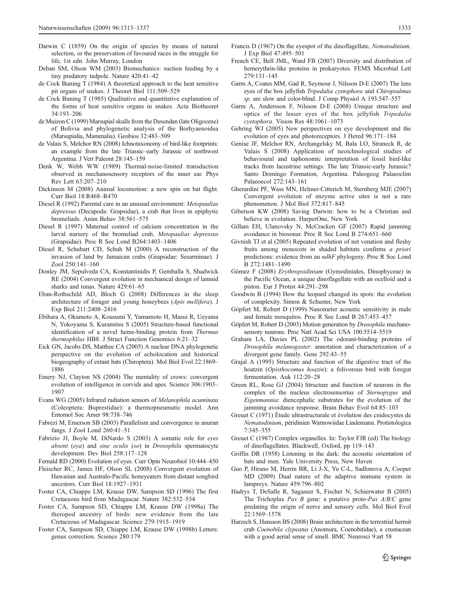- <span id="page-20-0"></span>Darwin C (1859) On the origin of species by means of natural selection, or the preservation of favoured races in the struggle for life, 1st edn. John Murray, London
- Deban SM, Olson WM (2003) Biomechanics: suction feeding by a tiny predatory tadpole. Nature 420:41–42
- de Cock Buning T (1984) A theoretical approach to the heat sensitive pit organs of snakes. J Theoret Biol 111:509–529
- de Cock Buning T (1985) Qualitative and quantitative explanation of the forms of heat sensitive organs in snakes. Acta Biotheoret 34:193–206
- de Muizon C (1999) Marsupial skulls from the Desendan (late Oligocene) of Bolivia and phylogenetic analysis of the Borhyaenoidea (Marsupialia, Mammalia). Geobios 32:483–509
- de Valais S, Melchor RN (2008) Ichnotaxonomy of bird-like footprints: an example from the late Triassic–early Jurassic of northwest Argentina. J Vert Paleont 28:145–159
- Denk W, Webb WW (1989) Thermal-noise-limited transduction observed in mechanosensory receptors of the inner ear. Phys Rev Lett 63:207–210
- Dickinson M (2008) Animal locomotion: a new spin on bat flight. Curr Biol 18:R468–R470
- Diesel R (1992) Parental care in an unusual environment: Metopaulias depressus (Decapoda: Grapsidae), a crab that lives in epiphytic bromeliads. Anim Behav 38:561–575
- Diesel R (1997) Maternal control of calcium concentration in the larval nursery of the bromeliad crab, Metopaulias depressus (Grapsidae). Proc R Soc Lond B264:1403–1406
- Diesel R, Schubart CD, Schuh M (2000) A reconstruction of the invasion of land by Jamaican crabs (Grapsidae: Sesarminae). J Zool 250:141–160
- Donley JM, Sepulveda CA, Konstantinidis P, Gemballa S, Shadwick RE (2004) Convergent evolution in mechanical design of lamnid sharks and tunas. Nature 429:61–65
- Eban-Rothschild AD, Bloch G (2008) Differences in the sleep architecture of forager and young honeybees (Apis mellifera). J Exp Biol 211:2408–2416
- Ebihara A, Okamoto A, Kousumi Y, Yamamoto H, Masui R, Ueyama N, Yokoyama S, Kuramitsu S (2005) Structure-based functional identification of a novel heme-binding protein from Thermus thermophilus HB8. J Struct Function Genomics 6:21–32
- Eick GN, Jacobs DS, Matthee CA (2005) A nuclear DNA phylogenetic perspective on the evolution of echolocation and historical biogeography of extant bats (Chiroptera). Mol Biol Evol 22:1869– 1886
- Emery NJ, Clayton NS (2004) The mentality of crows: convergent evolution of intelligence in corvids and apes. Science 306:1903– 1907
- Evans WG (2005) Infrared radiation sensors of Melanophila acuminata (Coleoptera: Buprestidae): a thermopneumatic model. Ann Entomol Soc Amer 98:738–746
- Fabrezi M, Emerson SB (2003) Parallelism and convergence in anuran fangs. J Zool Lond 260:41–51
- Fabrizio JJ, Boyle M, DiNardo S (2003) A somatic role for eyes absent (eya) and sine oculis (so) in Drosophila spermatocyte development. Dev Biol 258:117–128

Fernald RD (2000) Evolution of eyes. Curr Opin Neurobiol 10:444–450

- Fleischer RC, James HF, Olson SL (2008) Convergent evolution of Hawaiian and Australo-Pacific honeyeaters from distant songbird ancestors. Curr Biol 18:1927–1931
- Foster CA, Chiappe LM, Krause DW, Sampson SD (1996) The first Cretaceous bird from Madagascar. Nature 382:532–534
- Foster CA, Sampson SD, Chiappe LM, Krause DW (1998a) The theropod ancestry of birds: new evidence from the late Cretaceous of Madagascar. Science 279:1915–1919
- Foster CA, Sampson SD, Chiappe LM, Krause DW (1998b) Letters: genus correction. Science 280:179
- Francis D (1967) On the eyespot of the dinoflagellate, Nematodinium. J Exp Biol 47:495–501
- French CE, Bell JML, Ward FB (2007) Diversity and distribution of hemerythrin-like proteins in prokaryotes. FEMS Microbial Lett 279:131–145
- Garm A, Coates MM, Gad R, Seymour J, Nilsson D-E (2007) The lens eyes of the box jellyfish Tripedalia cystophora and Chiropsalmus sp. are slow and color-blind. J Comp Physiol A 193:547–557
- Garm A, Andersson F, Nilsson D-E (2008) Unique structure and optics of the lesser eyes of the box jellyfish Tripedalia cystophora. Vision Res 48:1061–1073
- Gehring WJ (2005) New perspectives on eye development and the evolution of eyes and photoreceptors. J Hered 96:171–184
- Genise JF, Melchor RN, Archangelsky M, Bala LO, Straneck R, de Valais S (2008) Application of neoichnological studies of behavioural and taphonomic interpretation of fossil bird-like tracks from lacustrine settings: The late Triassic-early Jurassic? Santo Domingo Formation, Argentina. Paleogeog Palaeoclim Palaeoecol 272:143–161
- Gherardini PF, Wass MN, Helmer-Citterich M, Sternberg MJE (2007) Convergent evolution of enzyme active sites is not a rare phenomenon. J Mol Biol 372:817–845
- Giberson KW (2008) Saving Darwin: how to be a Christian and believe in evolution. HarperOne, New York
- Gillam EH, Ulanovsky N, McCracken GF (2007) Rapid jamming avoidance in biosonar. Proc R Soc Lond B 274:651–660
- Givnish TJ et al (2005) Repeated evolution of net venation and fleshy fruits among monocots in shaded habitats confirms a priori predictions: evidence from an ndhF phylogeny. Proc R Soc Lond B 272:1481–1490
- Gómez F (2008) Erythropsidinium (Gymodiniales, Dinophyceae) in the Pacific Ocean, a unique dinoflagellate with an ocelloid and a piston. Eur J Protist 44:291–298
- Goodwin B (1994) How the leopard changed its spots: the evolution of complexity. Simon & Schuster, New York
- Göpfert M, Robert D (1999) Nanometer acoustic sensitivity in male and female mosquitos. Proc R Soc Lond B 267:453–457
- Göpfert M, Robert D (2003) Motion generation by Drosophila mechanosensory neurons. Proc Natl Acad Sci USA 100:5514–5519
- Graham LA, Davies PL (2002) The odorant-binding proteins of Drosophila melanogaster: annotation and characterization of a divergent gene family. Gene 292:43–55
- Grajal A (1995) Structure and function of the digestive tract of the hoatzin (Opisthocomus hoazin): a folivorous bird with foregut fermentation. Auk 112:20–28
- Green RL, Rose GJ (2004) Structure and function of neurons in the complex of the nucleus electrosensorius of Sternopygus and Eigenmannia: diencephalic substrates for the evolution of the jamming avoidance response. Brain Behav Evol 64:85–103
- Greuet C (1971) Étude ultrastructurale et évolution des cnidocystes de Nematodinium, péridinien Warnowiidae Lindemann. Protistologica 7:345–355
- Greuet C (1987) Complex organelles. In: Taylor FJR (ed) The biology of dinoflagellates. Blackwell, Oxford, pp 119–143
- Griffin DR (1958) Listening in the dark: the acoustic orientation of bats and men. Yale University Press, New Haven
- Guo P, Hirano M, Herrin BR, Li J-X, Yu C-L, Sadlonova A, Cooper MD (2009) Dual nature of the adaptive immune system in lampreys. Nature 459:796–802
- Hadrys T, DeSalle R, Sagasser S, Fischer N, Schierwater B (2005) The Trichoplax *Pax B* gene: a putative proto-*Pax*  $A/B/C$  gene predating the origin of nerve and sensory cells. Mol Biol Evol 22:1569–1578
- Harzsch S, Hansson BS (2008) Brain architecture in the terrestrial hermit crab Coenobila clypeatus (Anomura, Coenobitidae), a crustacean with a good aerial sense of smell. BMC Neurosci 9:art 58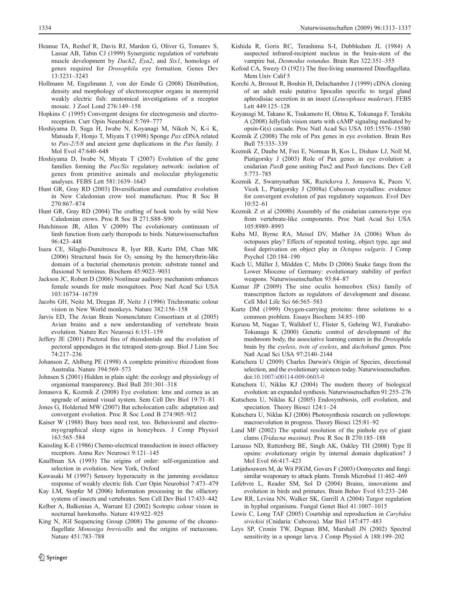- <span id="page-21-0"></span>Heanue TA, Reshef R, Davis RJ, Mardon G, Oliver G, Tomarev S, Lassar AB, Tabin CJ (1999) Synergistic regulation of vertebrate muscle development by Dach2, Eya2, and Six1, homologs of genes required for Drosophila eye formation. Genes Dev 13:3231–3243
- Hollmann M, Engelmann J, von der Emde G (2008) Distribution, density and morphology of electroreceptor organs in mormyrid weakly electric fish: anatomical investigations of a receptor mosaic. J Zool Lond 276:149–158
- Hopkins C (1995) Convergent designs for electrogenesis and electroreception. Curr Opin Neurobiol 5:769–777
- Hoshiyama D, Suga H, Iwabe N, Koyanagi M, Nikoh N, K-i K, Matsuda F, Honjo T, Miyata T (1998) Sponge Pax cDNA related to Pax-2/5/8 and ancient gene duplications in the Pax family. J Mol Evol 47:640–648
- Hoshiyama D, Iwabe N, Miyata T (2007) Evolution of the gene families forming the Pax/Six regulatory network: isolation of genes from primitive animals and molecular phylogenetic analyses. FEBS Lett 581:1639–1643
- Hunt GR, Gray RD (2003) Diversification and cumulative evolution in New Caledonian crow tool manufacture. Proc R Soc B 270:867–874
- Hunt GR, Gray RD (2004) The crafting of hook tools by wild New Caledonian crows. Proc R Soc B 271:S88–S90
- Hutchinson JR, Allen V (2009) The evolutionary continuum of limb function from early theropods to birds. Naturwissenschaften 96:423–448
- Isaza CE, Silaghi-Dumitrescu R, Iyer RB, Kurtz DM, Chan MK (2006) Structural basis for  $O<sub>2</sub>$  sensing by the hemerythrin-like domain of a bacterial chemotaxis protein: substrate tunnel and fluxional N terminus. Biochem 45:9023–9031
- Jackson JC, Robert D (2006) Nonlinear auditory mechanism enhances female sounds for male mosquitoes. Proc Natl Acad Sci USA 103:16734–16739
- Jacobs GH, Neitz M, Deegan JF, Neitz J (1996) Trichromatic colour vision in New World monkeys. Nature 382:156–158
- Jarvis ED, The Avian Brain Nomenclature Consortium et al (2005) Avian brains and a new understanding of vertebrate brain evolution. Nature Rev Neurosci 6:151–159
- Jeffery JE (2001) Pectoral fins of rhizodontids and the evolution of pectoral appendages in the tetrapod stem-group. Biol J Linn Soc 74:217–236
- Johanson Z, Ahlberg PE (1998) A complete primitive rhizodont from Australia. Nature 394:569–573
- Johnsen S (2001) Hidden in plain sight: the ecology and physiology of organismal transparency. Biol Bull 201:301–318
- Jonasova K, Kozmik Z (2008) Eye evolution: lens and cornea as an upgrade of animal visual system. Sem Cell Dev Biol 19:71–81
- Jones G, Holderied MW (2007) Bat echolocation calls: adaptation and convergent evolution. Proc R Soc Lond B 274:905–912
- Kaiser W (1988) Busy bees need rest, too. Behavioural and electromyographical sleep signs in honeybees. J Comp Physiol 163:565–584
- Kaissling K-E (1986) Chemo-electrical transduction in insect olfactory receptors. Annu Rev Neurosci 9:121–145
- Kauffman SA (1993) The origins of order: self-organization and selection in evolution. New York, Oxford
- Kawasaki M (1997) Sensory hyperacuity in the jamming avoidance response of weakly electric fish. Curr Opin Neurobiol 7:473–479
- Kay LM, Stopfer M (2006) Information processing in the olfactory systems of insects and vertebrates. Sem Cell Dev Biol 17:433–442
- Kelber A, Balkenius A, Warrant EJ (2002) Scotopic colour vision in nocturnal hawkmoths. Nature 419:922–925
- King N, JGI Sequencing Group (2008) The genome of the choanoflagellate Monosiga brevicollis and the origins of metazoans. Nature 451:783–788
- Kishida R, Goris RC, Terashima S-I, Dubbledam JL (1984) A suspected infrared-recipient nucleus in the brain-stem of the vampire bat, Desmodus rotundus. Brain Res 322:351–355
- Kofoid CA, Swezy O (1921) The free-living unarmored Dinoflagellata. Mem Univ Calif 5
- Korchi A, Brossut R, Bouhin H, Delachambre J (1999) cDNA cloning of an adult male putative lipocalin specific to tergal gland aphrodisiac secretion in an insect (Leucophaea maderae). FEBS Lett  $449.125 - 128$
- Koyanagi M, Takano K, Tsukamoto H, Ohtsu K, Tokunaga F, Terakita A (2008) Jellyfish vision starts with cAMP signaling mediated by opsin-G(s) cascade. Proc Natl Acad Sci USA 105:15576–15580
- Kozmik Z (2008) The role of Pax genes in eye evolution. Brain Res Bull 75:335–339
- Kozmik Z, Daube M, Frei E, Norman B, Kos L, Dishaw LJ, Noll M, Piatigorsky J (2003) Role of Pax genes in eye evolution: a cnidarian PaxB gene uniting Pax2 and Pax6 functions. Dev Cell 5:773–785
- Kozmik Z, Swamynathan SK, Ruzickova J, Jonasova K, Paces V, Vicek L, Piatigorsky J (2008a) Cubozoan crystallins: evidence for convergent evolution of pax regulatory sequences. Evol Dev 10:52–61
- Kozmik Z et al (2008b) Assembly of the cnidarian camera-type eye from vertebrate-like components. Proc Natl Acad Sci USA 105:8989–8993
- Kuba MJ, Byrne RA, Meisel DV, Mather JA (2006) When do octopuses play? Effects of repeated testing, object type, age and food deprivation on object play in Octopus vulgaris. J Comp Psychol 120:184–190
- Kuch U, Müller J, Mödden C, Mebs D (2006) Snake fangs from the Lower Miocene of Germany: evolutionary stability of perfect weapons. Naturwissenschaften 93:84–87
- Kumar JP (2009) The sine oculis homeobox (Six) family of transcription factors as regulators of development and disease. Cell Mol Life Sci 66:565–583
- Kurtz DM (1999) Oxygen-carrying proteins: three solutions to a common problem. Essays Biochem 34:85–100
- Kurusu M, Nagao T, Walldorf U, Flister S, Gehring WJ, Furukubo-Tokunaga K (2000) Genetic control of development of the mushroom body, the associative learning centers in the Drosophila brain by the eyeless, twin of eyeless, and dachshund genes. Proc Natl Acad Sci USA 97:2140–2144
- Kutschera U (2009) Charles Darwin's Origin of Species, directional selection, and the evolutionary sciences today. Naturwissenschaften. doi:[10.1007/s00114-009-0603-0](http://dx.doi.org/10.1007/s00114-009-0603-0)

Kutschera U, Niklas KJ (2004) The modern theory of biological evolution: an expanded synthesis. Naturwissenschaften 91:255–276

- Kutschera U, Niklas KJ (2005) Endosymbiosis, cell evolution, and speciation. Theory Biosci 124:1–24
- Kutschera U, Niklas KJ (2006) Photosynthesis research on yellowtops: macroevolution in progress. Theory Biosci 125:81–92
- Land MF (2002) The spatial resolution of the pinhole eye of giant clams (Tridacna maxima). Proc R Soc B 270:185–188
- Larusso ND, Ruttenberg BE, Singh AK, Oakley TH (2008) Type II opsins: evolutionary origin by internal domain duplication? J Mol Evol 66:417–423
- Latijnhouwers M, de Wit PJGM, Govers F (2003) Oomycetes and fungi: similar weaponary to attack plants. Trends Microbiol 11:462–469

Lefebvre L, Reader SM, Sol D (2004) Brains, innovations and evolution in birds and primates. Brain Behav Evol 63:233–246

- Lew RR, Levina NN, Walker SK, Garrill A (2004) Turgor regulation in hyphal organisms. Fungal Genet Biol 41:1007–1015
- Lewis C, Long TAF (2005) Courtship and reproduction in Carybdea sivickisi (Cnidaria: Cubozoa). Mar Biol 147:477–483
- Leys SP, Cronin TW, Degnan BM, Marshall JN (2002) Spectral sensitivity in a sponge larva. J Comp Physiol A 188:199–202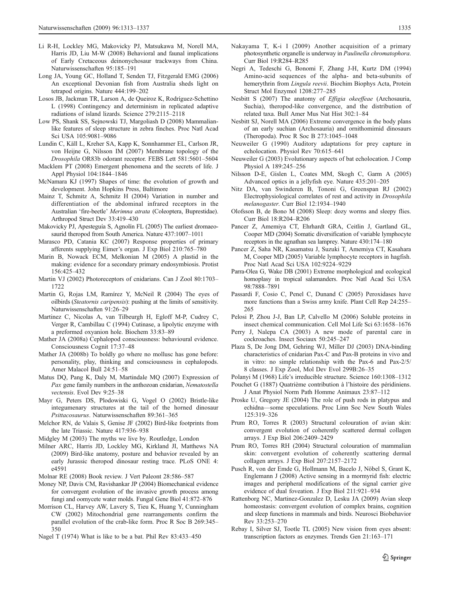- <span id="page-22-0"></span>Li R-H, Lockley MG, Makovicky PJ, Matsukawa M, Norell MA, Harris JD, Liu M-W (2008) Behavioral and faunal implications of Early Cretaceous deinonychosaur trackways from China. Naturwissenschaften 95:185–191
- Long JA, Young GC, Holland T, Senden TJ, Fitzgerald EMG (2006) An exceptional Devonian fish from Australia sheds light on tetrapod origins. Nature 444:199–202
- Losos JB, Jackman TR, Larson A, de Queiroz K, Rodríguez-Schettino L (1998) Contingency and determinism in replicated adaptive radiations of island lizards. Science 279:2115–2118
- Low PS, Shank SS, Sejnowski TJ, Margoliash D (2008) Mammalianlike features of sleep structure in zebra finches. Proc Natl Acad Sci USA 105:9081–9086
- Lundin C, Käll L, Kreher SA, Kapp K, Sonnhammer EL, Carlson JR, von Heijne G, Nilsson IM (2007) Membrane topology of the Drosophila OR83b odorant receptor. FEBS Lett 581:5601–5604
- Macklem PT (2008) Emergent phenomena and the secrets of life. J Appl Physiol 104:1844–1846
- McNamara KJ (1997) Shapes of time: the evolution of growth and development. John Hopkins Press, Baltimore
- Mainz T, Schmitz A, Schmitz H (2004) Variation in number and differentiation of the abdominal infrared receptors in the Australian 'fire-beetle' Merimna atrata (Coleoptera, Buprestidae). Arthropod Struct Dev 33:419–430
- Makovicky PJ, Apesteguía S, Agnolín FL (2005) The earliest dromaeosaurid theropod from South America. Nature 437:1007–1011
- Marasco PD, Catania KC (2007) Response properties of primary afferents supplying Eimer's organ. J Exp Biol 210:765–780
- Marin B, Nowack ECM, Melkonian M (2005) A plastid in the making: evidence for a secondary primary endosymbiosis. Protist 156:425–432
- Martin VJ (2002) Photoreceptors of cnidarians. Can J Zool 80:1703– 1722
- Martin G, Rojas LM, Ramírez Y, McNeil R (2004) The eyes of oilbirds (Steatornis caripensis): pushing at the limits of sensitivity. Naturwissenschaften 91:26–29
- Martinez C, Nicolas A, van Tilbeurgh H, Egloff M-P, Cudrey C, Verger R, Cambillau C (1994) Cutinase, a lipolytic enzyme with a preformed oxyanion hole. Biochem 33:83–89
- Mather JA (2008a) Cephalopod consciousness: behavioural evidence. Consciousness Cognit 17:37–48
- Mather JA (2008b) To boldly go where no mollusc has gone before: personality, play, thinking and consciousness in cephalopods. Amer Malacol Bull 24:51–58
- Matus DQ, Pang K, Daly M, Martindale MQ (2007) Expression of Pax gene family numbers in the anthozoan cnidarian, Nematostella vectensis. Evol Dev 9:25–38
- Mayr G, Peters DS, Plodowiski G, Vogel O (2002) Bristle-like integumenary structures at the tail of the horned dinosaur Psittacosaurus. Naturwissenschaften 89:361–365
- Melchor RN, de Valais S, Genise JF (2002) Bird-like footprints from the late Triassic. Nature 417:936–938
- Midgley M (2003) The myths we live by. Routledge, London
- Milner ARC, Harris JD, Lockley MG, Kirkland JI, Matthews NA (2009) Bird-like anatomy, posture and behavior revealed by an early Jurassic theropod dinosaur resting trace. PLoS ONE 4: e4591
- Molnar RE (2008) Book review. J Vert Paleont 28:586–587
- Money NP, Davis CM, Ravishankar JP (2004) Biomechanical evidence for convergent evolution of the invasive growth process among fungi and oomycete water molds. Fungal Gene Biol 41:872–876
- Morrison CL, Harvey AW, Lavery S, Tieu K, Huang Y, Cunningham CW (2002) Mitochondrial gene rearrangements confirm the parallel evolution of the crab-like form. Proc R Soc B 269:345– 350
- Nagel T (1974) What is like to be a bat. Phil Rev 83:433–450
- Nakayama T, K-i I (2009) Another acquisition of a primary photosynthetic organelle is underway in Paulinella chromatophora. Curr Biol 19:R284–R285
- Negri A, Tedeschi G, Bonomi F, Zhang J-H, Kurtz DM (1994) Amino-acid sequences of the alpha- and beta-subunits of hemerythrin from Lingula reevii. Biochim Biophys Acta, Protein Struct Mol Enzymol 1208:277–285
- Nesbitt S (2007) The anatomy of Effigia okeeffeae (Archosauria, Suchia), theropod-like convergence, and the distribution of related taxa. Bull Amer Mus Nat Hist 302:1–84
- Nesbitt SJ, Norell MA (2006) Extreme convergence in the body plans of an early suchian (Archosauria) and ornithomimid dinosaurs (Theropoda). Proc R Soc B 273:1045–1048
- Neuweiler G (1990) Auditory adaptations for prey capture in echolocation. Physiol Rev 70:615–641
- Neuweiler G (2003) Evolutionary aspects of bat echolocation. J Comp Physiol A 189:245–256
- Nilsson D-E, Gislen L, Coates MM, Skogh C, Garm A (2005) Advanced optics in a jellyfish eye. Nature 435:201–205
- Nitz DA, van Swinderen B, Tononi G, Greenspan RJ (2002) Electrophysiological correlates of rest and activity in Drosophila melanogaster. Curr Biol 12:1934–1940
- Olofsson B, de Bono M (2008) Sleep: dozy worms and sleepy flies. Curr Biol 18:R204–R206
- Pancer Z, Amemiya CT, Ehrhardt GRA, Ceitlin J, Gartland GL, Cooper MD (2004) Somatic diversification of variable lymphocyte receptors in the agnathan sea lamprey. Nature 430:174–180
- Pancer Z, Saha NR, Kasamatsu J, Suzuki T, Amemiya CT, Kasahara M, Cooper MD (2005) Variable lymphocyte receptors in hagfish. Proc Natl Acad Sci USA 102:9224–9229
- Parra-Olea G, Wake DB (2001) Extreme morphological and ecological homoplasy in tropical salamanders. Proc Natl Acad Sci USA 98:7888–7891
- Passardi F, Cosio C, Penel C, Dunand C (2005) Peroxidases have more functions than a Swiss army knife. Plant Cell Rep 24:255– 265
- Pelosi P, Zhou J-J, Ban LP, Calvello M (2006) Soluble proteins in insect chemical communication. Cell Mol Life Sci 63:1658–1676
- Perry J, Nalepa CA (2003) A new mode of parental care in cockroaches. Insect Sociaux 50:245–247
- Plaza S, De Jong DM, Gehring WJ, Miller DJ (2003) DNA-binding characteristics of cnidarian Pax-C and Pax-B proteins in vivo and in vitro: no simple relationship with the Pax-6 and Pax-2/5/ 8 classes. J Exp Zool, Mol Dev Evol 299B:26–35
- Polanyi M (1968) Life's irreducible structure. Science 160:1308–1312
- Pouchet G (1887) Quatrième contribution à l'histoire des péridiniens. J Anat Physiol Norm Path Homme Animaux 23:87–112
- Proske U, Gregory JE (2004) The role of push rods in platypus and echidna—some speculations. Proc Linn Soc New South Wales 125:319–326
- Prum RO, Torres R (2003) Structural colouration of avian skin: convergent evolution of coherently scattered dermal collagen arrays. J Exp Biol 206:2409–2429
- Prum RO, Torres RH (2004) Structural colouration of mammalian skin: convergent evolution of coherently scattering dermal collagen arrays. J Exp Biol 207:2157–2172
- Pusch R, von der Emde G, Hollmann M, Bacelo J, Nöbel S, Grant K, Englemann J (2008) Active sensing in a mormyrid fish: electric images and peripheral modifications of the signal carrier give evidence of dual foveation. J Exp Biol 211:921–934
- Rattenborg NC, Martinez-Gonzalez D, Lesku JA (2009) Avian sleep homeostasis: convergent evolution of complex brains, cognition and sleep functions in mammals and birds. Neurosci Biobehavior Rev 33:253–270
- Rebay I, Silver SJ, Tootle TL (2005) New vision from eyes absent: transcription factors as enzymes. Trends Gen 21:163–171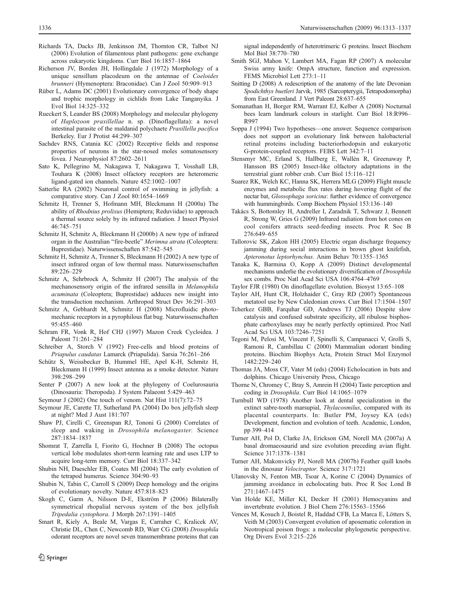<span id="page-23-0"></span>Richards TA, Dacks JB, Jenkinson JM, Thornton CR, Talbot NJ (2006) Evolution of filamentous plant pathogens: gene exchange across eukaryotic kingdoms. Curr Biol 16:1857–1864

Richerson JV, Borden JH, Hollingdale J (1972) Morphology of a unique sensillum placodeum on the antennae of Coeloides brunneri (Hymenoptera: Braconidae). Can J Zool 50:909–913

- Rüber L, Adams DC (2001) Evolutionary convergence of body shape and trophic morphology in cichlids from Lake Tanganyika. J Evol Biol 14:325–332
- Rueckert S, Leander BS (2008) Morphology and molecular phylogeny of Haplozoon praxillellae n. sp. (Dinoflagellata): a novel intestinal parasite of the maldanid polychaete Praxillella pacifica Berkeley. Eur J Protist 44:299–307
- Sachdev RNS, Catania KC (2002) Receptive fields and response properties of neurons in the star-nosed moles somatosensory fovea. J Neurophysiol 87:2602–2611
- Sato K, Pellegrino M, Nakagawa T, Nakagawa T, Vosshall LB, Touhara K (2008) Insect olfactory receptors are heteromeric ligand-gated ion channels. Nature 452:1002–1007
- Satterlie RA (2002) Neuronal control of swimming in jellyfish: a comparative story. Can J Zool 80:1654–1669
- Schmitz H, Trenner S, Hofmann MH, Bleckmann H (2000a) The ability of Rhodnius prolixus (Hemiptera; Reduviidae) to approach a thermal source solely by its infrared radiation. J Insect Physiol 46:745–751
- Schmitz H, Schmitz A, Bleckmann H (2000b) A new type of infrared organ in the Australian "fire-beetle" Merimna atrata (Coleoptera: Buprestidae). Naturwissenschaften 87:542–545
- Schmitz H, Schmitz A, Trenner S, Bleckmann H (2002) A new type of insect infrared organ of low thermal mass. Naturwissenschaften 89:226–229
- Schmitz A, Sehrbrock A, Schmitz H (2007) The analysis of the mechanosensory origin of the infrared sensilla in Melanophila acuminata (Coleoptera; Buprestidae) adduces new insight into the transduction mechanism. Arthropod Struct Dev 36:291–303
- Schmitz A, Gebhardt M, Schmitz H (2008) Microfluidic photomechanic receptors in a pyrophilous flat bug. Naturwissenschaften 95:455–460
- Schram FR, Vonk R, Hof CHJ (1997) Mazon Creek Cycloidea. J Paleont 71:261–284
- Schreiber A, Storch V (1992) Free-cells and blood proteins of Priapulus caudatas Lamarck (Priapulida). Sarsia 76:261–266
- Schütz S, Weissbecker B, Hummel HE, Apel K-H, Schmitz H, Bleckmann H (1999) Insect antenna as a smoke detector. Nature 398:298–299
- Senter P (2007) A new look at the phylogeny of Coelurosauria (Dinosauria: Theropoda). J System Palaeont 5:429–463
- Seymour J (2002) One touch of venom. Nat Hist 111(7):72–75
- Seymour JE, Carette TJ, Sutherland PA (2004) Do box jellyfish sleep at night? Med J Aust 181:707
- Shaw PJ, Cirelli C, Greenspan RJ, Tononi G (2000) Correlates of sleep and waking in Drosophila melanogaster. Science 287:1834–1837
- Shomrat T, Zarrella I, Fiorito G, Hochner B (2008) The octopus vertical lobe modulates short-term learning rate and uses LTP to acquire long-term memory. Curr Biol 18:337–342
- Shubin NH, Daeschler EB, Coates MI (2004) The early evolution of the tetrapod humerus. Science 304:90–93
- Shubin N, Tabin C, Carroll S (2009) Deep homology and the origins of evolutionary novelty. Nature 457:818–823
- Skogh C, Garm A, Nilsson D-E, Ekström P (2006) Bilaterally symmetrical rhopalial nervous system of the box jellyfish Tripedalia cystophora. J Morph 267:1391–1405
- Smart R, Kiely A, Beale M, Vargas E, Carraher C, Kralicek AV, Christie DL, Chen C, Newcomb RD, Warr CG (2008) Drosophila odorant receptors are novel seven transmembrane proteins that can

signal independently of heterotrimeric G proteins. Insect Biochem Mol Biol 38:770–780

- Smith SGJ, Mahon V, Lambert MA, Fagan RP (2007) A molecular Swiss army knife: OmpA structure, function and expression. FEMS Microbiol Lett 273:1–11
- Snitting D (2008) A redescription of the anatomy of the late Devonian Spodichthys buetleri Jarvik, 1985 (Sarcopterygii, Tetrapodomorpha) from East Greenland. J Vert Paleont 28:637–655
- Somanathan H, Borger RM, Warrant EJ, Kelber A (2008) Nocturnal bees learn landmark colours in starlight. Curr Biol 18:R996– R997
- Soppa J (1994) Two hypotheses—one answer. Sequence comparison does not support an evolutionary link between halobacterial retinal proteins including bacteriorhodopsin and eukaryotic G-protein-coupled receptors. FEBS Lett 342:7–11
- Stensmyr MC, Erland S, Hallberg E, Wallén R, Greenaway P, Hansson BS (2005) Insect-like olfactory adaptations in the terrestrial giant robber crab. Curr Biol 15:116–121
- Suarez RK, Welch KC, Hanna SK, Herrera MLG (2009) Flight muscle enzymes and metabolic flux rates during hovering flight of the nectar bat, Glossophaga soricina: further evidence of convergence with hummingbirds. Comp Biochem Physiol 153:136–140
- Takács S, Bottomley H, Andreller I, Zaradnik T, Schwarz J, Bennett R, Strong W, Gries G (2009) Infrared radiation from hot cones on cool conifers attracts seed-feeding insects. Proc R Soc B 276:649–655
- Tallorovic SK, Zakon HH (2005) Electric organ discharge frequency jamming during social interactions in brown ghost knifefish, Apteronotus leptorhynchus. Anim Behav 70:1355–1365
- Tanaka K, Barmina O, Kopp A (2009) Distinct developmental mechanisms underlie the evolutionary diversification of Drosophila sex combs. Proc Natl Acad Sci USA 106:4764–4769
- Taylor FJR (1980) On dinoflagellate evolution. Biosyst 13:65–108
- Taylor AH, Hunt CR, Holzhaider C, Gray RD (2007) Spontaneous metatool use by New Caledonian crows. Curr Biol 17:1504–1507
- Tcherkez GBB, Farquhar GD, Andrews TJ (2006) Despite slow catalysis and confused substrate specificity, all ribulose bisphosphate carboxylases may be nearly perfectly optimized. Proc Natl Acad Sci USA 103:7246–7251
- Tegoni M, Pelosi M, Vincent F, Spinelli S, Campanacci V, Grolli S, Ramoni R, Cambillau C (2000) Mammalian odorant binding proteins. Biochim Biophys Acta, Protein Struct Mol Enzymol 1482:229–240
- Thomas JA, Moss CF, Vater M (eds) (2004) Echolocation in bats and dolphins. Chicago University Press, Chicago
- Thorne N, Chromey C, Bray S, Amrein H (2004) Taste perception and coding in Drosophila. Curr Biol 14:1065–1079
- Turnbull WD (1978) Another look at dental specialization in the extinct sabre-tooth marsupial, Thylacosmilus, compared with its placental counterparts. In: Butler PM, Joysey KA (eds) Development, function and evolution of teeth. Academic, London, pp 399–414
- Turner AH, Pol D, Clarke JA, Erickson GM, Norell MA (2007a) A basal dromaeosaurid and size evolution preceding avian flight. Science 317:1378–1381
- Turner AH, Makonvicky PJ, Norell MA (2007b) Feather quill knobs in the dinosaur Velociraptor. Science 317:1721
- Ulanovsky N, Fenton MB, Tsoar A, Korine C (2004) Dynamics of jamming avoidance in echolocating bats. Proc R Soc Lond B 271:1467–1475
- Van Holde KE, Miller KI, Decker H (2001) Hemocyanins and invertebrate evolution. J Biol Chem 276:15563–15566
- Vences M, Kosuch J, Boistel R, Haddad CFB, La Marca E, Lötters S, Veith M (2003) Convergent evolution of aposematic coloration in Neotropical poison frogs: a molecular phylogenetic perspective. Org Divers Evol 3:215–226